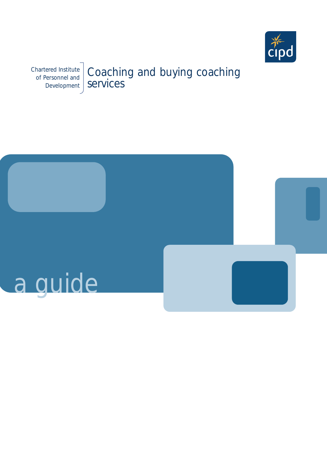

Chartered Institute of Personnel and Development Coaching and buying coaching services

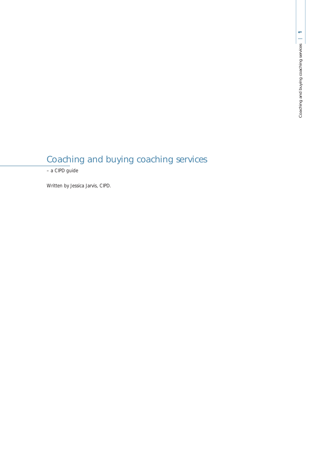# Coaching and buying coaching services

– a CIPD guide

Written by Jessica Jarvis, CIPD.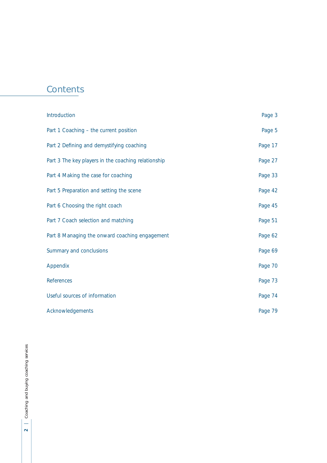# **Contents**

| Introduction                                        | Page 3  |
|-----------------------------------------------------|---------|
| Part 1 Coaching - the current position              | Page 5  |
| Part 2 Defining and demystifying coaching           | Page 17 |
| Part 3 The key players in the coaching relationship | Page 27 |
| Part 4 Making the case for coaching                 | Page 33 |
| Part 5 Preparation and setting the scene            | Page 42 |
| Part 6 Choosing the right coach                     | Page 45 |
| Part 7 Coach selection and matching                 | Page 51 |
| Part 8 Managing the onward coaching engagement      | Page 62 |
| Summary and conclusions                             | Page 69 |
| Appendix                                            | Page 70 |
| References                                          | Page 73 |
| Useful sources of information                       | Page 74 |
| Acknowledgements                                    | Page 79 |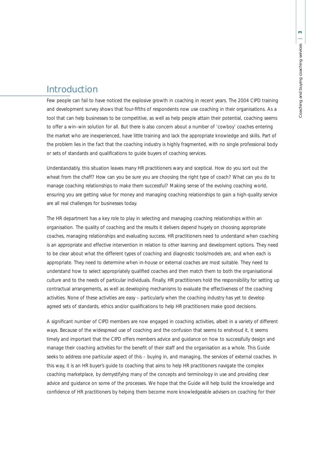## Introduction

Few people can fail to have noticed the explosive growth in coaching in recent years. The 2004 CIPD training and development survey shows that four-fifths of respondents now use coaching in their organisations. As a tool that can help businesses to be competitive, as well as help people attain their potential, coaching seems to offer a win–win solution for all. But there is also concern about a number of 'cowboy' coaches entering the market who are inexperienced, have little training and lack the appropriate knowledge and skills. Part of the problem lies in the fact that the coaching industry is highly fragmented, with no single professional body or sets of standards and qualifications to guide buyers of coaching services.

Understandably, this situation leaves many HR practitioners wary and sceptical. How do you sort out the wheat from the chaff? How can you be sure you are choosing the right type of coach? What can you do to manage coaching relationships to make them successful? Making sense of the evolving coaching world, ensuring you are getting value for money and managing coaching relationships to gain a high-quality service are all real challenges for businesses today.

The HR department has a key role to play in selecting and managing coaching relationships within an organisation. The quality of coaching and the results it delivers depend hugely on choosing appropriate coaches, managing relationships and evaluating success. HR practitioners need to understand when coaching is an appropriate and effective intervention in relation to other learning and development options. They need to be clear about what the different types of coaching and diagnostic tools/models are, and when each is appropriate. They need to determine when in-house or external coaches are most suitable. They need to understand how to select appropriately qualified coaches and then match them to both the organisational culture and to the needs of particular individuals. Finally, HR practitioners hold the responsibility for setting up contractual arrangements, as well as developing mechanisms to evaluate the effectiveness of the coaching activities. None of these activities are easy – particularly when the coaching industry has yet to develop agreed sets of standards, ethics and/or qualifications to help HR practitioners make good decisions.

A significant number of CIPD members are now engaged in coaching activities, albeit in a variety of different ways. Because of the widespread use of coaching and the confusion that seems to enshroud it, it seems timely and important that the CIPD offers members advice and guidance on how to successfully design and manage their coaching activities for the benefit of their staff and the organisation as a whole. This Guide seeks to address one particular aspect of this – buying in, and managing, the services of external coaches. In this way, it is an HR buyer's guide to coaching that aims to help HR practitioners navigate the complex coaching marketplace, by demystifying many of the concepts and terminology in use and providing clear advice and guidance on some of the processes. We hope that the Guide will help build the knowledge and confidence of HR practitioners by helping them become more knowledgeable advisers on coaching for their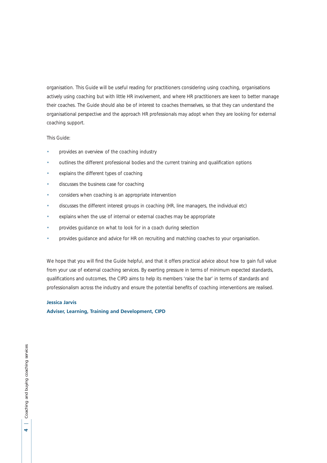organisation. This Guide will be useful reading for practitioners considering using coaching, organisations actively using coaching but with little HR involvement, and where HR practitioners are keen to better manage their coaches. The Guide should also be of interest to coaches themselves, so that they can understand the organisational perspective and the approach HR professionals may adopt when they are looking for external coaching support.

## This Guide:

- provides an overview of the coaching industry
- outlines the different professional bodies and the current training and qualification options
- explains the different types of coaching
- discusses the business case for coaching
- considers when coaching is an appropriate intervention
- discusses the different interest groups in coaching (HR, line managers, the individual etc)
- explains when the use of internal or external coaches may be appropriate
- provides guidance on what to look for in a coach during selection
- provides guidance and advice for HR on recruiting and matching coaches to your organisation.

We hope that you will find the Guide helpful, and that it offers practical advice about how to gain full value from your use of external coaching services. By exerting pressure in terms of minimum expected standards, qualifications and outcomes, the CIPD aims to help its members 'raise the bar' in terms of standards and professionalism across the industry and ensure the potential benefits of coaching interventions are realised.

### **Jessica Jarvis**

**Adviser, Learning, Training and Development, CIPD**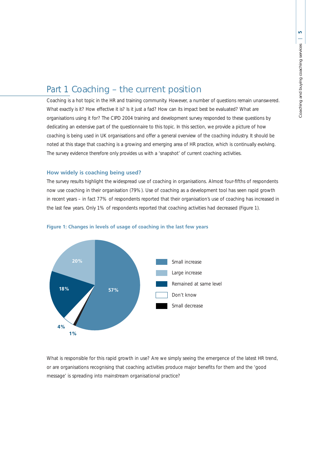## Part 1 Coaching – the current position

Coaching is a hot topic in the HR and training community. However, a number of questions remain unanswered. What exactly is it? How effective it is? Is it just a fad? How can its impact best be evaluated? What are organisations using it for? The CIPD 2004 training and development survey responded to these questions by dedicating an extensive part of the questionnaire to this topic. In this section, we provide a picture of how coaching is being used in UK organisations and offer a general overview of the coaching industry. It should be noted at this stage that coaching is a growing and emerging area of HR practice, which is continually evolving. The survey evidence therefore only provides us with a 'snapshot' of current coaching activities.

## **How widely is coaching being used?**

The survey results highlight the widespread use of coaching in organisations. Almost four-fifths of respondents now use coaching in their organisation (79%). Use of coaching as a development tool has seen rapid growth in recent years – in fact 77% of respondents reported that their organisation's use of coaching has increased in the last few years. Only 1% of respondents reported that coaching activities had decreased (Figure 1).



### **Figure 1: Changes in levels of usage of coaching in the last few years**

What is responsible for this rapid growth in use? Are we simply seeing the emergence of the latest HR trend, or are organisations recognising that coaching activities produce major benefits for them and the 'good message' is spreading into mainstream organisational practice?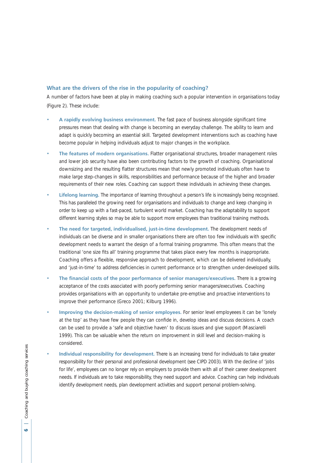## **What are the drivers of the rise in the popularity of coaching?**

A number of factors have been at play in making coaching such a popular intervention in organisations today (Figure 2). These include:

- **A rapidly evolving business environment.** The fast pace of business alongside significant time pressures mean that dealing with change is becoming an everyday challenge. The ability to learn and adapt is quickly becoming an essential skill. Targeted development interventions such as coaching have become popular in helping individuals adjust to major changes in the workplace.
- **The features of modern organisations.** Flatter organisational structures, broader management roles and lower job security have also been contributing factors to the growth of coaching. Organisational downsizing and the resulting flatter structures mean that newly promoted individuals often have to make large step-changes in skills, responsibilities and performance because of the higher and broader requirements of their new roles. Coaching can support these individuals in achieving these changes.
- **Lifelong learning.** The importance of learning throughout a person's life is increasingly being recognised. This has paralleled the growing need for organisations and individuals to change and keep changing in order to keep up with a fast-paced, turbulent world market. Coaching has the adaptability to support different learning styles so may be able to support more employees than traditional training methods.
- **The need for targeted, individualised, just-in-time development.** The development needs of individuals can be diverse and in smaller organisations there are often too few individuals with specific development needs to warrant the design of a formal training programme. This often means that the traditional 'one size fits all' training programme that takes place every few months is inappropriate. Coaching offers a flexible, responsive approach to development, which can be delivered individually, and 'just-in-time' to address deficiencies in current performance or to strengthen under-developed skills.
- **The financial costs of the poor performance of senior managers/executives.** There is a growing acceptance of the costs associated with poorly performing senior managers/executives. Coaching provides organisations with an opportunity to undertake pre-emptive and proactive interventions to improve their performance (Greco 2001; Kilburg 1996).
- **Improving the decision-making of senior employees.** For senior level employeees it can be 'lonely at the top' as they have few people they can confide in, develop ideas and discuss decisions. A coach can be used to provide a 'safe and objective haven' to discuss issues and give support (Masciarelli 1999). This can be valuable when the return on improvement in skill level and decision-making is considered.
- **Individual responsibility for development.** There is an increasing trend for individuals to take greater responsibility for their personal and professional development (see CIPD 2003). With the decline of 'jobs for life', employees can no longer rely on employers to provide them with all of their career development needs. If individuals are to take responsibility, they need support and advice. Coaching can help individuals identify development needs, plan development activities and support personal problem-solving.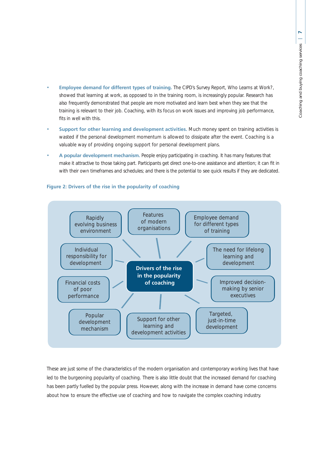- **Employee demand for different types of training.** The CIPD's Survey Report, *Who Learns at Work?*, showed that learning at work, as opposed to in the training room, is increasingly popular. Research has also frequently demonstrated that people are more motivated and learn best when they see that the training is relevant to their job. Coaching, with its focus on work issues and improving job performance, fits in well with this.
- **Support for other learning and development activities.** Much money spent on training activities is wasted if the personal development momentum is allowed to dissipate after the event. Coaching is a valuable way of providing ongoing support for personal development plans.
- **A popular development mechanism.** People enjoy participating in coaching. It has many features that make it attractive to those taking part. Participants get direct one-to-one assistance and attention; it can fit in with their own timeframes and schedules; and there is the potential to see quick results if they are dedicated.



### **Figure 2: Drivers of the rise in the popularity of coaching**

These are just some of the characteristics of the modern organisation and contemporary working lives that have led to the burgeoning popularity of coaching. There is also little doubt that the increased demand for coaching has been partly fuelled by the popular press. However, along with the increase in demand have come concerns about how to ensure the effective use of coaching and how to navigate the complex coaching industry.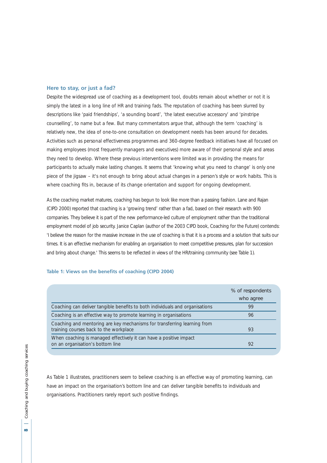#### **Here to stay, or just a fad?**

Despite the widespread use of coaching as a development tool, doubts remain about whether or not it is simply the latest in a long line of HR and training fads. The reputation of coaching has been slurred by descriptions like 'paid friendships', 'a sounding board', 'the latest executive accessory' and 'pinstripe counselling', to name but a few. But many commentators argue that, although the term 'coaching' is relatively new, the idea of one-to-one consultation on development needs has been around for decades. Activities such as personal effectiveness programmes and 360-degree feedback initiatives have all focused on making employees (most frequently managers and executives) more aware of their personal style and areas they need to develop. Where these previous interventions were limited was in providing the means for participants to actually make lasting changes. It seems that 'knowing what you need to change' is only one piece of the jigsaw – it's not enough to bring about actual changes in a person's style or work habits. This is where coaching fits in, because of its change orientation and support for ongoing development.

As the coaching market matures, coaching has begun to look like more than a passing fashion. Lane and Rajan (CIPD 2000) reported that coaching is a 'growing trend' rather than a fad, based on their research with 900 companies. They believe it is part of the new performance-led culture of employment rather than the traditional employment model of job security. Janice Caplan (author of the 2003 CIPD book, *Coaching for the Future*) contends: 'I believe the reason for the massive increase in the use of coaching is that it is a process and a solution that suits our times. It is an effective mechanism for enabling an organisation to meet competitive pressures, plan for succession and bring about change.' This seems to be reflected in views of the HR/training community (see Table 1).

#### **Table 1: Views on the benefits of coaching (CIPD 2004)**

|                                                                                                                    | % of respondents<br>who agree |
|--------------------------------------------------------------------------------------------------------------------|-------------------------------|
| Coaching can deliver tangible benefits to both individuals and organisations                                       | 99                            |
| Coaching is an effective way to promote learning in organisations                                                  | 96                            |
| Coaching and mentoring are key mechanisms for transferring learning from<br>training courses back to the workplace | 93                            |
| When coaching is managed effectively it can have a positive impact<br>on an organisation's bottom line             | 92                            |

As Table 1 illustrates, practitioners seem to believe coaching is an effective way of promoting learning, can have an impact on the organisation's bottom line and can deliver tangible benefits to individuals and organisations. Practitioners rarely report such positive findings.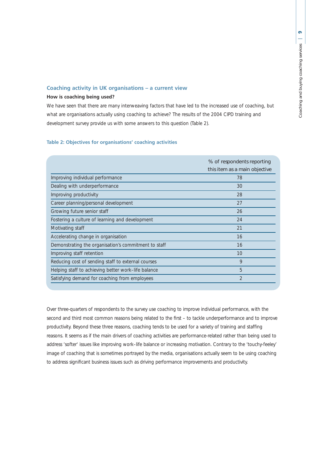## **Coaching activity in UK organisations – a current view**

## **How is coaching being used?**

We have seen that there are many interweaving factors that have led to the increased use of coaching, but what are organisations actually using coaching to achieve? The results of the 2004 CIPD training and development survey provide us with some answers to this question (Table 2).

## **Table 2: Objectives for organisations' coaching activities**

|                                                      | % of respondents reporting<br>this item as a main objective |
|------------------------------------------------------|-------------------------------------------------------------|
| Improving individual performance                     | 78                                                          |
| Dealing with underperformance                        | 30                                                          |
| Improving productivity                               | 28                                                          |
| Career planning/personal development                 | 27                                                          |
| Growing future senior staff                          | 26                                                          |
| Fostering a culture of learning and development      | 24                                                          |
| Motivating staff                                     | 21                                                          |
| Accelerating change in organisation                  | 16                                                          |
| Demonstrating the organisation's commitment to staff | 16                                                          |
| Improving staff retention                            | 10                                                          |
| Reducing cost of sending staff to external courses   | 9                                                           |
| Helping staff to achieving better work-life balance  | 5                                                           |
| Satisfying demand for coaching from employees        | $\overline{2}$                                              |

Over three-quarters of respondents to the survey use coaching to improve individual performance, with the second and third most common reasons being related to the first – to tackle underperformance and to improve productivity. Beyond these three reasons, coaching tends to be used for a variety of training and staffing reasons. It seems as if the main drivers of coaching activities are performance-related rather than being used to address 'softer' issues like improving work–life balance or increasing motivation. Contrary to the 'touchy-feeley' image of coaching that is sometimes portrayed by the media, organisations actually seem to be using coaching to address significant business issues such as driving performance improvements and productivity.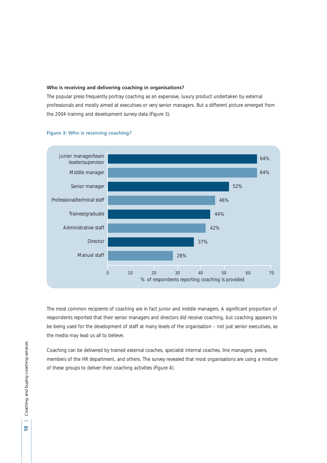### **Who is receiving and delivering coaching in organisations?**

The popular press frequently portray coaching as an expensive, luxury product undertaken by external professionals and mostly aimed at executives or very senior managers. But a different picture emerged from the 2004 training and development survey data (Figure 3).



#### **Figure 3: Who is receiving coaching?**

The most common recipients of coaching are in fact junior and middle managers. A significant proportion of respondents reported that their senior managers and directors did receive coaching, but coaching appears to be being used for the development of staff at many levels of the organisation – not just senior executives, as the media may lead us all to believe.

Coaching can be delivered by trained external coaches, specialist internal coaches, line managers, peers, members of the HR department, and others. The survey revealed that most organisations are using a mixture of these groups to deliver their coaching activities (Figure 4).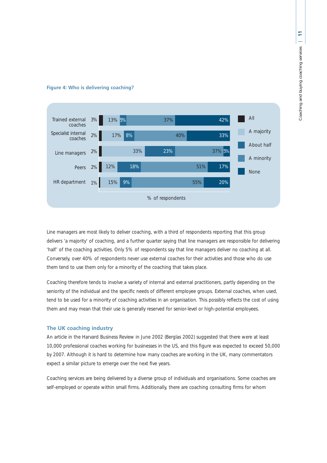

## **Figure 4: Who is delivering coaching?**

Line managers are most likely to deliver coaching, with a third of respondents reporting that this group delivers 'a majority' of coaching, and a further quarter saying that line managers are responsible for delivering 'half' of the coaching activities. Only 5% of respondents say that line managers deliver no coaching at all. Conversely, over 40% of respondents never use external coaches for their activities and those who do use them tend to use them only for a minority of the coaching that takes place.

Coaching therefore tends to involve a variety of internal and external practitioners, partly depending on the seniority of the individual and the specific needs of different employee groups. External coaches, when used, tend to be used for a minority of coaching activities in an organisation. This possibly reflects the cost of using them and may mean that their use is generally reserved for senior-level or high-potential employees.

## **The UK coaching industry**

An article in the *Harvard Business Review* in June 2002 (Berglas 2002) suggested that there were at least 10,000 professional coaches working for businesses in the US, and this figure was expected to exceed 50,000 by 2007. Although it is hard to determine how many coaches are working in the UK, many commentators expect a similar picture to emerge over the next five years.

Coaching services are being delivered by a diverse group of individuals and organisations. Some coaches are self-employed or operate within small firms. Additionally, there are coaching consulting firms for whom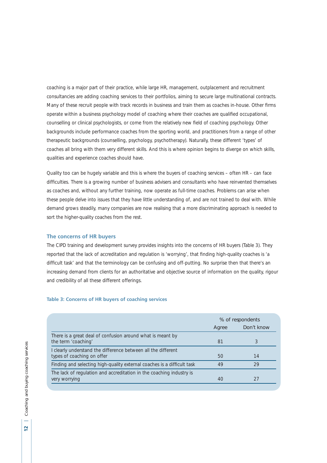coaching is a major part of their practice, while large HR, management, outplacement and recruitment consultancies are adding coaching services to their portfolios, aiming to secure large multinational contracts. Many of these recruit people with track records in business and train them as coaches in-house. Other firms operate within a business psychology model of coaching where their coaches are qualified occupational, counselling or clinical psychologists, or come from the relatively new field of coaching psychology. Other backgrounds include performance coaches from the sporting world, and practitioners from a range of other therapeutic backgrounds (counselling, psychology, psychotherapy). Naturally, these different 'types' of coaches all bring with them very different skills. And this is where opinion begins to diverge on which skills, qualities and experience coaches should have.

Quality too can be hugely variable and this is where the buyers of coaching services – often HR – can face difficulties. There is a growing number of business advisers and consultants who have reinvented themselves as coaches and, without any further training, now operate as full-time coaches. Problems can arise when these people delve into issues that they have little understanding of, and are not trained to deal with. While demand grows steadily, many companies are now realising that a more discriminating approach is needed to sort the higher-quality coaches from the rest.

#### **The concerns of HR buyers**

The CIPD training and development survey provides insights into the concerns of HR buyers (Table 3). They reported that the lack of accreditation and regulation is 'worrying', that finding high-quality coaches is 'a difficult task' and that the terminology can be confusing and off-putting. No surprise then that there's an increasing demand from clients for an authoritative and objective source of information on the quality, rigour and credibility of all these different offerings.

#### **Table 3: Concerns of HR buyers of coaching services**

|                                                                                             | % of respondents |            |
|---------------------------------------------------------------------------------------------|------------------|------------|
|                                                                                             | Agree            | Don't know |
| There is a great deal of confusion around what is meant by<br>the term 'coaching'           | 81               |            |
| I clearly understand the difference between all the different<br>types of coaching on offer | 50               | 14         |
| Finding and selecting high-quality external coaches is a difficult task                     | 49               | 79         |
| The lack of regulation and accreditation in the coaching industry is<br>very worrying       | 40               |            |

 $\overline{\mathbf{z}}$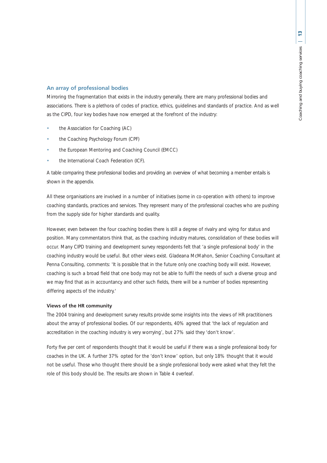## **An array of professional bodies**

Mirroring the fragmentation that exists in the industry generally, there are many professional bodies and associations. There is a plethora of codes of practice, ethics, guidelines and standards of practice. And as well as the CIPD, four key bodies have now emerged at the forefront of the industry:

- the Association for Coaching (AC)
- the Coaching Psychology Forum (CPF)
- the European Mentoring and Coaching Council (EMCC)
- the International Coach Federation (ICF).

A table comparing these professional bodies and providing an overview of what becoming a member entails is shown in the appendix.

All these organisations are involved in a number of initiatives (some in co-operation with others) to improve coaching standards, practices and services. They represent many of the professional coaches who are pushing from the supply side for higher standards and quality.

However, even between the four coaching bodies there is still a degree of rivalry and vying for status and position. Many commentators think that, as the coaching industry matures, consolidation of these bodies will occur. Many CIPD training and development survey respondents felt that 'a single professional body' in the coaching industry would be useful. But other views exist. Gladeana McMahon, Senior Coaching Consultant at Penna Consulting, comments: 'It is possible that in the future only one coaching body will exist. However, coaching is such a broad field that one body may not be able to fulfil the needs of such a diverse group and we may find that as in accountancy and other such fields, there will be a number of bodies representing differing aspects of the industry.'

## **Views of the HR community**

The 2004 training and development survey results provide some insights into the views of HR practitioners about the array of professional bodies. Of our respondents, 40% agreed that 'the lack of regulation and accreditation in the coaching industry is very worrying', but 27% said they 'don't know'.

Forty five per cent of respondents thought that it would be useful if there was a single professional body for coaches in the UK. A further 37% opted for the 'don't know' option, but only 18% thought that it would not be useful. Those who thought there should be a single professional body were asked what they felt the role of this body should be. The results are shown in Table 4 overleaf.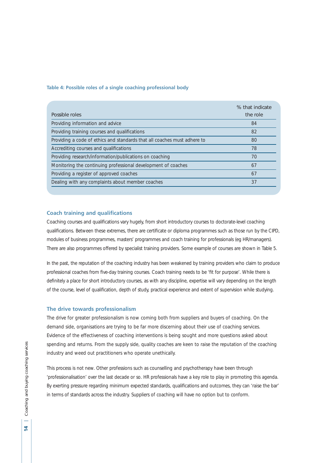#### **Table 4: Possible roles of a single coaching professional body**

| Possible roles                                                           | % that indicate<br>the role |
|--------------------------------------------------------------------------|-----------------------------|
| Providing information and advice                                         | 84                          |
| Providing training courses and qualifications                            | 82                          |
| Providing a code of ethics and standards that all coaches must adhere to | 80                          |
| Accrediting courses and qualifications                                   | 78                          |
| Providing research/information/publications on coaching                  | 70                          |
| Monitoring the continuing professional development of coaches            | 67                          |
| Providing a register of approved coaches                                 | 67                          |
| Dealing with any complaints about member coaches                         | 37                          |

## **Coach training and qualifications**

Coaching courses and qualifications vary hugely, from short introductory courses to doctorate-level coaching qualifications. Between these extremes, there are certificate or diploma programmes such as those run by the CIPD, modules of business programmes, masters' programmes and coach training for professionals (eg HR/managers). There are also programmes offered by specialist training providers. Some example of courses are shown in Table 5.

In the past, the reputation of the coaching industry has been weakened by training providers who claim to produce professional coaches from five-day training courses. Coach training needs to be 'fit for purpose'. While there is definitely a place for short introductory courses, as with any discipline, expertise will vary depending on the length of the course, level of qualification, depth of study, practical experience and extent of supervision while studying.

#### **The drive towards professionalism**

The drive for greater professionalism is now coming both from suppliers and buyers of coaching. On the demand side, organisations are trying to be far more discerning about their use of coaching services. Evidence of the effectiveness of coaching interventions is being sought and more questions asked about spending and returns. From the supply side, quality coaches are keen to raise the reputation of the coaching industry and weed out practitioners who operate unethically.

This process is not new. Other professions such as counselling and psychotherapy have been through 'professionalisation' over the last decade or so. HR professionals have a key role to play in promoting this agenda. By exerting pressure regarding minimum expected standards, qualifications and outcomes, they can 'raise the bar' in terms of standards across the industry. Suppliers of coaching will have no option but to conform.

Ā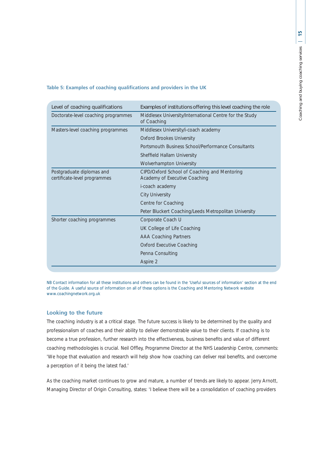| Level of coaching qualifications                          | Examples of institutions offering this level coaching the role                |
|-----------------------------------------------------------|-------------------------------------------------------------------------------|
| Doctorate-level coaching programmes                       | Middlesex University/International Centre for the Study<br>of Coaching        |
| Masters-level coaching programmes                         | Middlesex University/i-coach academy                                          |
|                                                           | <b>Oxford Brookes University</b>                                              |
|                                                           | Portsmouth Business School/Performance Consultants                            |
|                                                           | Sheffield Hallam University                                                   |
|                                                           | <b>Wolverhampton University</b>                                               |
| Postgraduate diplomas and<br>certificate-level programmes | CIPD/Oxford School of Coaching and Mentoring<br>Academy of Executive Coaching |
|                                                           | i-coach academy                                                               |
|                                                           | <b>City University</b>                                                        |
|                                                           | Centre for Coaching                                                           |
|                                                           | Peter Bluckert Coaching/Leeds Metropolitan University                         |
| Shorter coaching programmes                               | Corporate Coach U                                                             |
|                                                           | UK College of Life Coaching                                                   |
|                                                           | <b>AAA Coaching Partners</b>                                                  |
|                                                           | <b>Oxford Executive Coaching</b>                                              |
|                                                           | Penna Consulting                                                              |
|                                                           | Aspire 2                                                                      |

### **Table 5: Examples of coaching qualifications and providers in the UK**

NB Contact information for all these institutions and others can be found in the 'Useful sources of information' section at the end of the Guide. A useful source of information on all of these options is the Coaching and Mentoring Network website www.coachingnetwork.org.uk

## **Looking to the future**

The coaching industry is at a critical stage. The future success is likely to be determined by the quality and professionalism of coaches and their ability to deliver demonstrable value to their clients. If coaching is to become a true profession, further research into the effectiveness, business benefits and value of different coaching methodologies is crucial. Neil Offley, Programme Director at the NHS Leadership Centre, comments: 'We hope that evaluation and research will help show how coaching can deliver real benefits, and overcome a perception of it being the latest fad.'

As the coaching market continues to grow and mature, a number of trends are likely to appear. Jerry Arnott, Managing Director of Origin Consulting, states: 'I believe there will be a consolidation of coaching providers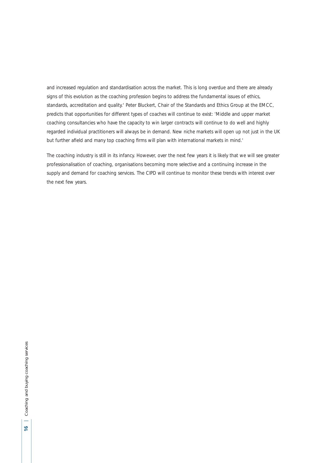and increased regulation and standardisation across the market. This is long overdue and there are already signs of this evolution as the coaching profession begins to address the fundamental issues of ethics, standards, accreditation and quality.' Peter Bluckert, Chair of the Standards and Ethics Group at the EMCC, predicts that opportunities for different types of coaches will continue to exist: 'Middle and upper market coaching consultancies who have the capacity to win larger contracts will continue to do well and highly regarded individual practitioners will always be in demand. New niche markets will open up not just in the UK but further afield and many top coaching firms will plan with international markets in mind.'

The coaching industry is still in its infancy. However, over the next few years it is likely that we will see greater professionalisation of coaching, organisations becoming more selective and a continuing increase in the supply and demand for coaching services. The CIPD will continue to monitor these trends with interest over the next few years.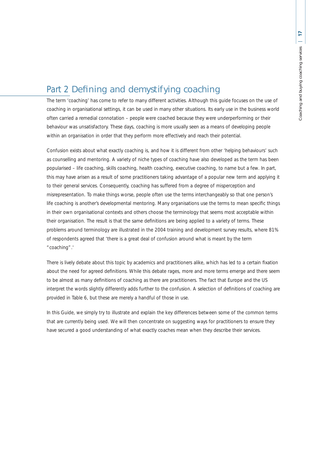## Part 2 Defining and demystifying coaching

The term 'coaching' has come to refer to many different activities. Although this guide focuses on the use of coaching in organisational settings, it can be used in many other situations. Its early use in the business world often carried a remedial connotation – people were coached because they were underperforming or their behaviour was unsatisfactory. These days, coaching is more usually seen as a means of developing people within an organisation in order that they perform more effectively and reach their potential.

Confusion exists about what exactly coaching is, and how it is different from other 'helping behaviours' such as counselling and mentoring. A variety of niche types of coaching have also developed as the term has been popularised – life coaching, skills coaching, health coaching, executive coaching, to name but a few. In part, this may have arisen as a result of some practitioners taking advantage of a popular new term and applying it to their general services. Consequently, coaching has suffered from a degree of misperception and misrepresentation. To make things worse, people often use the terms interchangeably so that one person's life coaching is another's developmental mentoring. Many organisations use the terms to mean specific things in their own organisational contexts and others choose the terminology that seems most acceptable within their organisation. The result is that the same definitions are being applied to a variety of terms. These problems around terminology are illustrated in the 2004 training and development survey results, where 81% of respondents agreed that 'there is a great deal of confusion around what is meant by the term "coaching".'

There is lively debate about this topic by academics and practitioners alike, which has led to a certain fixation about the need for agreed definitions. While this debate rages, more and more terms emerge and there seem to be almost as many definitions of coaching as there are practitioners. The fact that Europe and the US interpret the words slightly differently adds further to the confusion. A selection of definitions of coaching are provided in Table 6, but these are merely a handful of those in use.

In this Guide, we simply try to illustrate and explain the key differences between some of the common terms that are currently being used. We will then concentrate on suggesting ways for practitioners to ensure they have secured a good understanding of what exactly coaches mean when they describe their services.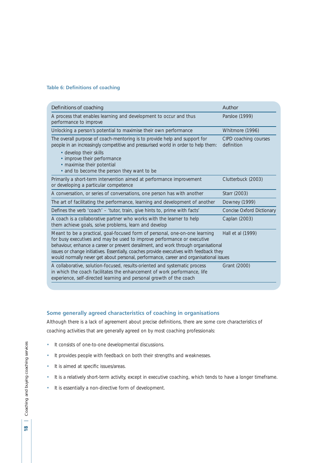## **Table 6: Definitions of coaching**

| Definitions of coaching                                                                                                                                                                                                                                                                                                                                                                                                                                 | Author                              |  |
|---------------------------------------------------------------------------------------------------------------------------------------------------------------------------------------------------------------------------------------------------------------------------------------------------------------------------------------------------------------------------------------------------------------------------------------------------------|-------------------------------------|--|
| A process that enables learning and development to occur and thus<br>performance to improve                                                                                                                                                                                                                                                                                                                                                             | Parsloe (1999)                      |  |
| Unlocking a person's potential to maximise their own performance                                                                                                                                                                                                                                                                                                                                                                                        | Whitmore (1996)                     |  |
| The overall purpose of coach-mentoring is to provide help and support for<br>people in an increasingly competitive and pressurised world in order to help them:<br>• develop their skills                                                                                                                                                                                                                                                               | CIPD coaching courses<br>definition |  |
| • improve their performance<br>• maximise their potential<br>• and to become the person they want to be                                                                                                                                                                                                                                                                                                                                                 |                                     |  |
| Primarily a short-term intervention aimed at performance improvement<br>or developing a particular competence                                                                                                                                                                                                                                                                                                                                           | Clutterbuck (2003)                  |  |
| A conversation, or series of conversations, one person has with another                                                                                                                                                                                                                                                                                                                                                                                 | Starr (2003)                        |  |
| The art of facilitating the performance, learning and development of another                                                                                                                                                                                                                                                                                                                                                                            | Downey (1999)                       |  |
| Defines the verb 'coach' – 'tutor, train, give hints to, prime with facts'                                                                                                                                                                                                                                                                                                                                                                              | Concise Oxford Dictionary           |  |
| A coach is a collaborative partner who works with the learner to help<br>them achieve goals, solve problems, learn and develop                                                                                                                                                                                                                                                                                                                          | Caplan (2003)                       |  |
| Meant to be a practical, goal-focused form of personal, one-on-one learning<br>Hall et al (1999)<br>for busy executives and may be used to improve performance or executive<br>behaviour, enhance a career or prevent derailment, and work through organisational<br>issues or change initiatives. Essentially, coaches provide executives with feedback they<br>would normally never get about personal, performance, career and organisational issues |                                     |  |
| A collaborative, solution-focused, results-oriented and systematic process<br>in which the coach facilitates the enhancement of work performance, life<br>experience, self-directed learning and personal growth of the coach                                                                                                                                                                                                                           | Grant (2000)                        |  |

## **Some generally agreed characteristics of coaching in organisations**

Although there is a lack of agreement about precise definitions, there are some core characteristics of coaching activities that are generally agreed on by most coaching professionals:

- It consists of one-to-one developmental discussions.
- It provides people with feedback on both their strengths and weaknesses.
- It is aimed at specific issues/areas.
- It is a relatively short-term activity, except in executive coaching, which tends to have a longer timeframe.
- It is essentially a non-directive form of development.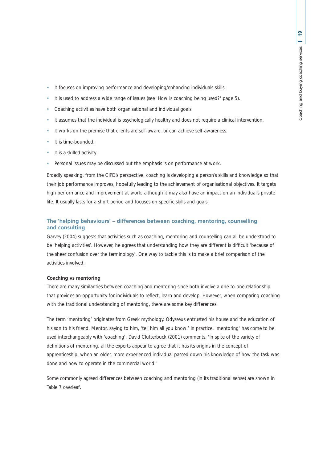- It focuses on improving performance and developing/enhancing individuals skills.
- It is used to address a wide range of issues (see 'How is coaching being used?' page 5).
- Coaching activities have both organisational and individual goals.
- It assumes that the individual is psychologically healthy and does not require a clinical intervention.
- It works on the premise that clients are self-aware, or can achieve self-awareness.
- It is time-bounded.
- It is a skilled activity.
- Personal issues may be discussed but the emphasis is on performance at work.

Broadly speaking, from the CIPD's perspective, coaching is developing a person's skills and knowledge so that their job performance improves, hopefully leading to the achievement of organisational objectives. It targets high performance and improvement at work, although it may also have an impact on an individual's private life. It usually lasts for a short period and focuses on specific skills and goals.

## **The 'helping behaviours' – differences between coaching, mentoring, counselling and consulting**

Garvey (2004) suggests that activities such as coaching, mentoring and counselling can all be understood to be 'helping activities'. However, he agrees that understanding how they are different is difficult 'because of the sheer confusion over the terminology'. One way to tackle this is to make a brief comparison of the activities involved.

#### **Coaching vs mentoring**

There are many similarities between coaching and mentoring since both involve a one-to-one relationship that provides an opportunity for individuals to reflect, learn and develop. However, when comparing coaching with the traditional understanding of mentoring, there are some key differences.

The term 'mentoring' originates from Greek mythology. Odysseus entrusted his house and the education of his son to his friend, Mentor, saying to him, 'tell him all you know.' In practice, 'mentoring' has come to be used interchangeably with 'coaching'. David Clutterbuck (2001) comments, 'In spite of the variety of definitions of mentoring, all the experts appear to agree that it has its origins in the concept of apprenticeship, when an older, more experienced individual passed down his knowledge of how the task was done and how to operate in the commercial world.'

Some commonly agreed differences between coaching and mentoring (in its traditional sense) are shown in Table 7 overleaf.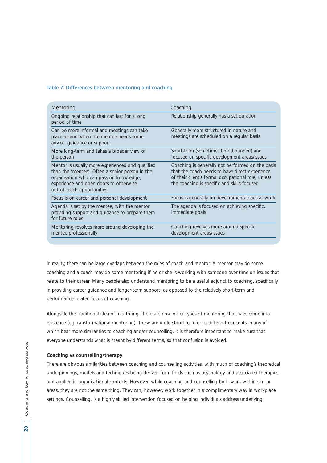### **Table 7: Differences between mentoring and coaching**

| Mentoring                                                                                                                                                                                                              | Coaching                                                                                                                                                                                                |
|------------------------------------------------------------------------------------------------------------------------------------------------------------------------------------------------------------------------|---------------------------------------------------------------------------------------------------------------------------------------------------------------------------------------------------------|
| Ongoing relationship that can last for a long<br>period of time                                                                                                                                                        | Relationship generally has a set duration                                                                                                                                                               |
| Can be more informal and meetings can take<br>place as and when the mentee needs some<br>advice, guidance or support                                                                                                   | Generally more structured in nature and<br>meetings are scheduled on a regular basis                                                                                                                    |
| More long-term and takes a broader view of<br>the person                                                                                                                                                               | Short-term (sometimes time-bounded) and<br>focused on specific development areas/issues                                                                                                                 |
| Mentor is usually more experienced and qualified<br>than the 'mentee'. Often a senior person in the<br>organisation who can pass on knowledge,<br>experience and open doors to otherwise<br>out-of-reach opportunities | Coaching is generally not performed on the basis<br>that the coach needs to have direct experience<br>of their client's formal occupational role, unless<br>the coaching is specific and skills-focused |
| Focus is on career and personal development                                                                                                                                                                            | Focus is generally on development/issues at work                                                                                                                                                        |
| Agenda is set by the mentee, with the mentor<br>providing support and guidance to prepare them<br>for future roles                                                                                                     | The agenda is focused on achieving specific,<br>immediate goals                                                                                                                                         |
| Mentoring revolves more around developing the<br>mentee professionally                                                                                                                                                 | Coaching revolves more around specific<br>development areas/issues                                                                                                                                      |

In reality, there can be large overlaps between the roles of coach and mentor. A mentor may do some coaching and a coach may do some mentoring if he or she is working with someone over time on issues that relate to their career. Many people also understand mentoring to be a useful adjunct to coaching, specifically in providing career guidance and longer-term support, as opposed to the relatively short-term and performance-related focus of coaching.

Alongside the traditional idea of mentoring, there are now other types of mentoring that have come into existence (eg transformational mentoring). These are understood to refer to different concepts, many of which bear more similarities to coaching and/or counselling. It is therefore important to make sure that everyone understands what is meant by different terms, so that confusion is avoided.

## **Coaching vs counselling/therapy**

There are obvious similarities between coaching and counselling activities, with much of coaching's theoretical underpinnings, models and techniques being derived from fields such as psychology and associated therapies, and applied in organisational contexts. However, while coaching and counselling both work within similar areas, they are not the same thing. They can, however, work together in a complimentary way in workplace settings. Counselling, is a highly skilled intervention focused on helping individuals address underlying

 $\overline{20}$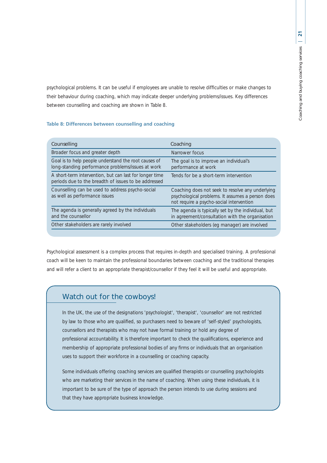psychological problems. It can be useful if employees are unable to resolve difficulties or make changes to their behaviour during coaching, which may indicate deeper underlying problems/issues. Key differences between counselling and coaching are shown in Table 8.

## **Table 8: Differences between counselling and coaching**

| Counselling                                                                                                     | Coaching                                                                                                                                         |
|-----------------------------------------------------------------------------------------------------------------|--------------------------------------------------------------------------------------------------------------------------------------------------|
| Broader focus and greater depth                                                                                 | Narrower focus                                                                                                                                   |
| Goal is to help people understand the root causes of<br>long-standing performance problems/issues at work       | The goal is to improve an individual's<br>performance at work                                                                                    |
| A short-term intervention, but can last for longer time<br>periods due to the breadth of issues to be addressed | Tends for be a short-term intervention                                                                                                           |
| Counselling can be used to address psycho-social<br>as well as performance issues                               | Coaching does not seek to resolve any underlying<br>psychological problems. It assumes a person does<br>not require a psycho-social intervention |
| The agenda is generally agreed by the individuals<br>and the counsellor                                         | The agenda is typically set by the individual, but<br>in agreement/consultation with the organisation                                            |
| Other stakeholders are rarely involved                                                                          | Other stakeholders (eg manager) are involved                                                                                                     |

Psychological assessment is a complex process that requires in-depth and specialised training. A professional coach will be keen to maintain the professional boundaries between coaching and the traditional therapies and will refer a client to an appropriate therapist/counsellor if they feel it will be useful and appropriate.

## Watch out for the cowboys!

In the UK, the use of the designations 'psychologist', 'therapist', 'counsellor' are not restricted by law to those who are qualified, so purchasers need to beware of 'self-styled' psychologists, counsellors and therapists who may not have formal training or hold any degree of professional accountability. It is therefore important to check the qualifications, experience and membership of appropriate professional bodies of any firms or individuals that an organisation uses to support their workforce in a counselling or coaching capacity.

Some individuals offering coaching services are qualified therapists or counselling psychologists who are marketing their services in the name of coaching. When using these individuals, it is important to be sure of the type of approach the person intends to use during sessions and that they have appropriate business knowledge.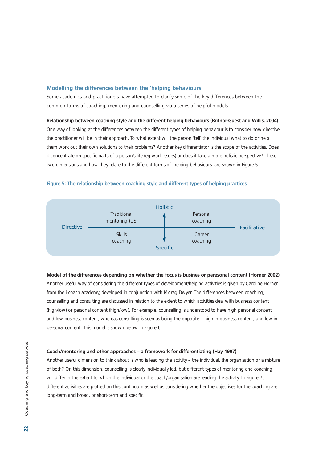#### **Modelling the differences between the 'helping behaviours**

Some academics and practitioners have attempted to clarify some of the key differences between the common forms of coaching, mentoring and counselling via a series of helpful models.

## **Relationship between coaching style and the different helping behaviours (Britnor-Guest and Willis, 2004)**

One way of looking at the differences between the different types of helping behaviour is to consider how directive the practitioner will be in their approach. To what extent will the person 'tell' the individual what to do or help them work out their own solutions to their problems? Another key differentiator is the scope of the activities. Does it concentrate on specific parts of a person's life (eg work issues) or does it take a more holistic perspective? These two dimensions and how they relate to the different forms of 'helping behaviours' are shown in Figure 5.





### **Model of the differences depending on whether the focus is busines or peresonal content (Horner 2002)**

Another useful way of considering the different types of development/helping activities is given by Caroline Horner from the i-coach academy, developed in conjunction with Morag Dwyer. The differences between coaching, counselling and consulting are discussed in relation to the extent to which activities deal with business content (high/low) or personal content (high/low). For example, counselling is understood to have high personal content and low business content, whereas consulting is seen as being the opposite – high in business content, and low in personal content. This model is shown below in Figure 6.

#### **Coach/mentoring and other approaches – a framework for differentiating (Hay 1997)**

Another useful dimension to think about is who is leading the activity – the individual, the organisation or a mixture of both? On this dimension, counselling is clearly individually led, but different types of mentoring and coaching will differ in the extent to which the individual or the coach/organisation are leading the activity. In Figure 7, different activities are plotted on this continuum as well as considering whether the objectives for the coaching are long-term and broad, or short-term and specific.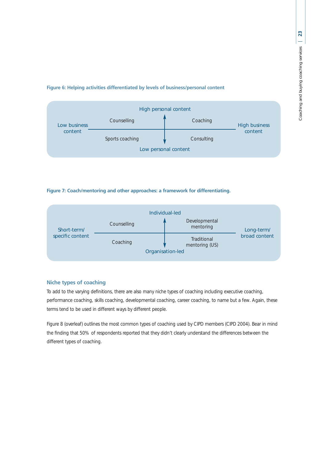## **Figure 6: Helping activities differentiated by levels of business/personal content**



## **Figure 7: Coach/mentoring and other approaches: a framework for differentiating.**



## **Niche types of coaching**

To add to the varying definitions, there are also many niche types of coaching including executive coaching, performance coaching, skills coaching, developmental coaching, career coaching, to name but a few. Again, these terms tend to be used in different ways by different people.

Figure 8 (overleaf) outlines the most common types of coaching used by CIPD members (CIPD 2004). Bear in mind the finding that 50% of respondents reported that they didn't clearly understand the differences between the different types of coaching.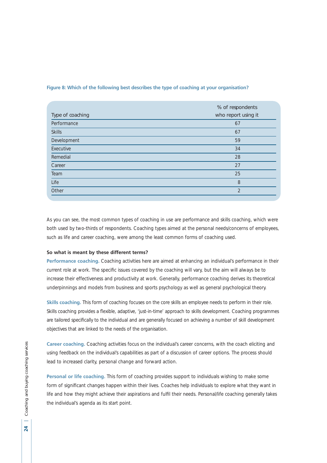| Type of coaching | % of respondents<br>who report using it |
|------------------|-----------------------------------------|
| Performance      | 67                                      |
| <b>Skills</b>    | 67                                      |
| Development      | 59                                      |
| Executive        | 34                                      |
| Remedial         | 28                                      |
| Career           | 27                                      |
| Team             | 25                                      |
| Life             | 8                                       |
| Other            | $\overline{2}$                          |

#### **Figure 8: Which of the following best describes the type of coaching at your organisation?**

As you can see, the most common types of coaching in use are performance and skills coaching, which were both used by two-thirds of respondents. Coaching types aimed at the personal needs/concerns of employees, such as life and career coaching, were among the least common forms of coaching used.

#### **So what is meant by these different terms?**

**Performance coaching.** Coaching activities here are aimed at enhancing an individual's performance in their current role at work. The specific issues covered by the coaching will vary, but the aim will always be to increase their effectiveness and productivity at work. Generally, performance coaching derives its theoretical underpinnings and models from business and sports psychology as well as general psychological theory.

**Skills coaching.** This form of coaching focuses on the core skills an employee needs to perform in their role. Skills coaching provides a flexible, adaptive, 'just-in-time' approach to skills development. Coaching programmes are tailored specifically to the individual and are generally focused on achieving a number of skill development objectives that are linked to the needs of the organisation.

**Career coaching.** Coaching activities focus on the individual's career concerns, with the coach eliciting and using feedback on the individual's capabilities as part of a discussion of career options. The process should lead to increased clarity, personal change and forward action.

**Personal or life coaching.** This form of coaching provides support to individuals wishing to make some form of significant changes happen within their lives. Coaches help individuals to explore what they want in life and how they might achieve their aspirations and fulfil their needs. Personal/life coaching generally takes the individual's agenda as its start point.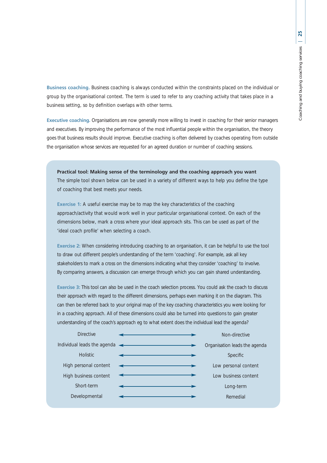**Business coaching.** Business coaching is always conducted within the constraints placed on the individual or group by the organisational context. The term is used to refer to any coaching activity that takes place in a business setting, so by definition overlaps with other terms.

**Executive coaching.** Organisations are now generally more willing to invest in coaching for their senior managers and executives. By improving the performance of the most influential people within the organisation, the theory goes that business results should improve. Executive coaching is often delivered by coaches operating from outside the organisation whose services are requested for an agreed duration or number of coaching sessions.

**Practical tool: Making sense of the terminology and the coaching approach you want** The simple tool shown below can be used in a variety of different ways to help you define the type of coaching that best meets your needs.

**Exercise 1:** A useful exercise may be to map the key characteristics of the coaching approach/activity that would work well in your particular organisational context. On each of the dimensions below, mark a cross where your ideal approach sits. This can be used as part of the 'ideal coach profile' when selecting a coach.

**Exercise 2:** When considering introducing coaching to an organisation, it can be helpful to use the tool to draw out different people's understanding of the term 'coaching'. For example, ask all key stakeholders to mark a cross on the dimensions indicating what they consider 'coaching' to involve. By comparing answers, a discussion can emerge through which you can gain shared understanding.

**Exercise 3:** This tool can also be used in the coach selection process. You could ask the coach to discuss their approach with regard to the different dimensions, perhaps even marking it on the diagram. This can then be referred back to your original map of the key coaching characteristics you were looking for in a coaching approach. All of these dimensions could also be turned into questions to gain greater understanding of the coach's approach eg to what extent does the individual lead the agenda?

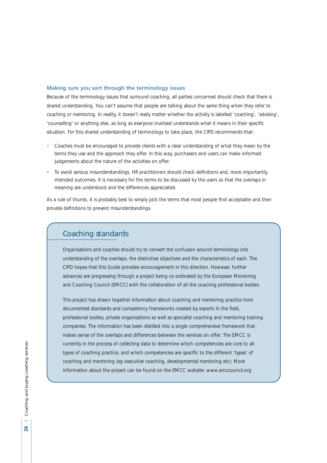## **Making sure you sort through the terminology issues**

Because of the terminology issues that surround coaching, all parties concerned should check that there is shared understanding. You can't assume that people are talking about the same thing when they refer to coaching or mentoring. In reality, it doesn't really matter whether the activity is labelled 'coaching', 'advising', 'counselling' or anything else, as long as everyone involved understands what it means in their specific situation. For this shared understanding of terminology to take place, the CIPD recommends that:

- Coaches must be encouraged to provide clients with a clear understanding of what they mean by the terms they use and the approach they offer. In this way, purchasers and users can make informed judgements about the nature of the activities on offer.
- To avoid serious misunderstandings, HR practitioners should check definitions and, more importantly, intended outcomes. It is necessary for the terms to be discussed by the users so that the overlaps in meaning are understood and the differences appreciated.

As a rule of thumb, it is probably best to simply pick the terms that most people find acceptable and then provide definitions to prevent misunderstandings.

## Coaching standards

Organisations and coaches should try to convert the confusion around terminology into understanding of the overlaps, the distinctive objectives and the characteristics of each. The CIPD hopes that this Guide provides encouragement in this direction. However, further advances are progressing through a project being co-ordinated by the European Mentoring and Coaching Council (EMCC) with the collaboration of all the coaching professional bodies.

This project has drawn together information about coaching and mentoring practice from documented standards and competency frameworks created by experts in the field, professional bodies, private organisations as well as specialist coaching and mentoring training companies. The information has been distilled into a single comprehensive framework that makes sense of the overlaps and differences between the services on offer. The EMCC is currently in the process of collecting data to determine which competencies are core to all types of coaching practice, and which competencies are specific to the different 'types' of coaching and mentoring (eg executive coaching, developmental mentoring etc). More information about the project can be found on the EMCC website: www.emccouncil.org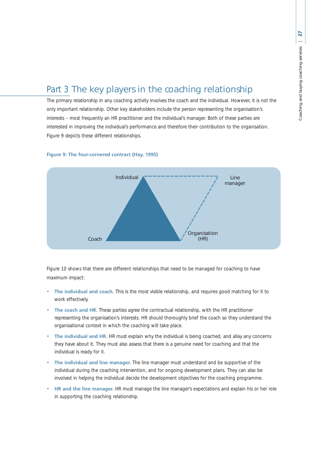# Part 3 The key players in the coaching relationship

The primary relationship in any coaching activity involves the coach and the individual. However, it is not the only important relationship. Other key stakeholders include the person representing the organisation's interests – most frequently an HR practitioner and the individual's manager. Both of these parties are interested in improving the individual's performance and therefore their contribution to the organisation. Figure 9 depicts these different relationships.

## **Figure 9: The four-cornered contract (Hay, 1995)**



Figure 10 shows that there are different relationships that need to be managed for coaching to have maximum impact:

- **The individual and coach.** This is the most visible relationship, and requires good matching for it to work effectively.
- The coach and HR. These parties agree the contractual relationship, with the HR practitioner representing the organisation's interests. HR should thoroughly brief the coach so they understand the organisational context in which the coaching will take place.
- **The individual and HR.** HR must explain why the individual is being coached, and allay any concerns they have about it. They must also assess that there is a genuine need for coaching and that the individual is ready for it.
- **The individual and line manager.** The line manager must understand and be supportive of the individual during the coaching intervention, and for ongoing development plans. They can also be involved in helping the individual decide the development objectives for the coaching programme.
- **HR and the line manager.** HR must manage the line manager's expectations and explain his or her role in supporting the coaching relationship.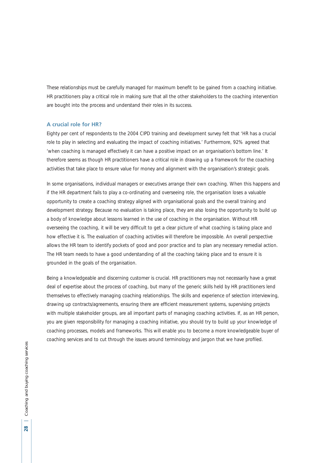These relationships must be carefully managed for maximum benefit to be gained from a coaching initiative. HR practitioners play a critical role in making sure that all the other stakeholders to the coaching intervention are bought into the process and understand their roles in its success.

#### **A crucial role for HR?**

Eighty per cent of respondents to the 2004 CIPD training and development survey felt that 'HR has a crucial role to play in selecting and evaluating the impact of coaching initiatives.' Furthermore, 92% agreed that 'when coaching is managed effectively it can have a positive impact on an organisation's bottom line.' It therefore seems as though HR practitioners have a critical role in drawing up a framework for the coaching activities that take place to ensure value for money and alignment with the organisation's strategic goals.

In some organisations, individual managers or executives arrange their own coaching. When this happens and if the HR department fails to play a co-ordinating and overseeing role, the organisation loses a valuable opportunity to create a coaching strategy aligned with organisational goals and the overall training and development strategy. Because no evaluation is taking place, they are also losing the opportunity to build up a body of knowledge about lessons learned in the use of coaching in the organisation. Without HR overseeing the coaching, it will be very difficult to get a clear picture of what coaching is taking place and how effective it is. The evaluation of coaching activities will therefore be impossible. An overall perspective allows the HR team to identify pockets of good and poor practice and to plan any necessary remedial action. The HR team needs to have a good understanding of all the coaching taking place and to ensure it is grounded in the goals of the organisation.

Being a knowledgeable and discerning customer is crucial. HR practitioners may not necessarily have a great deal of expertise about the process of coaching, but many of the generic skills held by HR practitioners lend themselves to effectively managing coaching relationships. The skills and experience of selection interviewing, drawing up contracts/agreements, ensuring there are efficient measurement systems, supervising projects with multiple stakeholder groups, are all important parts of managing coaching activities. If, as an HR person, you are given responsibility for managing a coaching initiative, you should try to build up your knowledge of coaching processes, models and frameworks. This will enable you to become a more knowledgeable buyer of coaching services and to cut through the issues around terminology and jargon that we have profiled.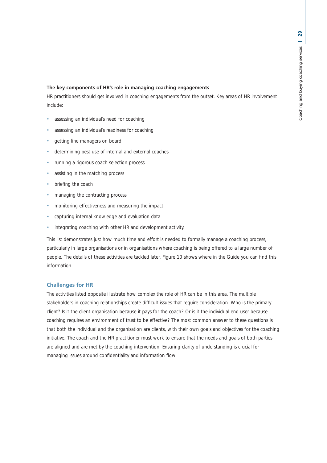#### **The key components of HR's role in managing coaching engagements**

HR practitioners should get involved in coaching engagements from the outset. Key areas of HR involvement include:

- assessing an individual's need for coaching
- assessing an individual's readiness for coaching
- getting line managers on board
- determining best use of internal and external coaches
- running a rigorous coach selection process
- assisting in the matching process
- briefing the coach
- managing the contracting process
- monitoring effectiveness and measuring the impact
- capturing internal knowledge and evaluation data
- integrating coaching with other HR and development activity.

This list demonstrates just how much time and effort is needed to formally manage a coaching process, particularly in large organisations or in organisations where coaching is being offered to a large number of people. The details of these activities are tackled later. Figure 10 shows where in the Guide you can find this information.

## **Challenges for HR**

The activities listed opposite illustrate how complex the role of HR can be in this area. The multiple stakeholders in coaching relationships create difficult issues that require consideration. Who is the primary client? Is it the client organisation because it pays for the coach? Or is it the individual end user because coaching requires an environment of trust to be effective? The most common answer to these questions is that both the individual and the organisation are clients, with their own goals and objectives for the coaching initiative. The coach and the HR practitioner must work to ensure that the needs and goals of both parties are aligned and are met by the coaching intervention. Ensuring clarity of understanding is crucial for managing issues around confidentiality and information flow.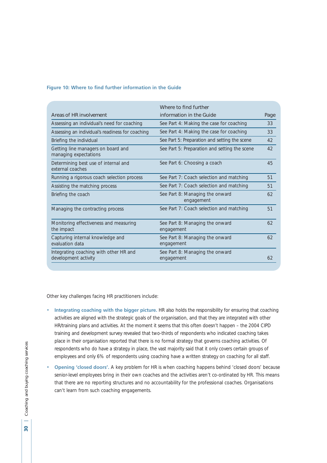## **Figure 10: Where to find further information in the Guide**

|                                                                | Where to find further                         |      |
|----------------------------------------------------------------|-----------------------------------------------|------|
| Areas of HR involvement                                        | information in the Guide                      | Page |
| Assessing an individual's need for coaching                    | See Part 4: Making the case for coaching      | 33   |
| Assessing an individual's readiness for coaching               | See Part 4: Making the case for coaching      | 33   |
| Briefing the individual                                        | See Part 5: Preparation and setting the scene | 42   |
| Getting line managers on board and<br>managing expectations    | See Part 5: Preparation and setting the scene | 42   |
| Determining best use of internal and<br>external coaches       | See Part 6: Choosing a coach                  | 45   |
| Running a rigorous coach selection process                     | See Part 7: Coach selection and matching      | 51   |
| Assisting the matching process                                 | See Part 7: Coach selection and matching      | 51   |
| Briefing the coach                                             | See Part 8: Managing the onward<br>engagement | 62   |
| Managing the contracting process                               | See Part 7: Coach selection and matching      | 51   |
| Monitoring effectiveness and measuring<br>the impact           | See Part 8: Managing the onward<br>engagement | 62   |
| Capturing internal knowledge and<br>evaluation data            | See Part 8: Managing the onward<br>engagement | 62   |
| Integrating coaching with other HR and<br>development activity | See Part 8: Managing the onward<br>engagement | 62   |

Other key challenges facing HR practitioners include:

- **Integrating coaching with the bigger picture.** HR also holds the responsibility for ensuring that coaching activities are aligned with the strategic goals of the organisation, and that they are integrated with other HR/training plans and activities. At the moment it seems that this often doesn't happen – the 2004 CIPD training and development survey revealed that two-thirds of respondents who indicated coaching takes place in their organisation reported that there is no formal strategy that governs coaching activities. Of respondents who do have a strategy in place, the vast majority said that it only covers certain groups of employees and only 6% of respondents using coaching have a written strategy on coaching for all staff.
- **Opening 'closed doors'.** A key problem for HR is when coaching happens behind 'closed doors' because senior-level employees bring in their own coaches and the activities aren't co-ordinated by HR. This means that there are no reporting structures and no accountability for the professional coaches. Organisations can't learn from such coaching engagements.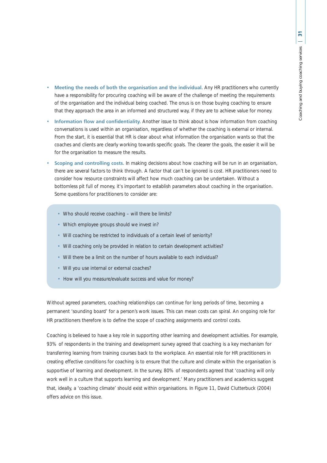- **Meeting the needs of both the organisation and the individual.** Any HR practitioners who currently have a responsibility for procuring coaching will be aware of the challenge of meeting the requirements of the organisation and the individual being coached. The onus is on those buying coaching to ensure that they approach the area in an informed and structured way, if they are to achieve value for money.
- **Information flow and confidentiality.** Another issue to think about is how information from coaching conversations is used within an organisation, regardless of whether the coaching is external or internal. From the start, it is essential that HR is clear about what information the organisation wants so that the coaches and clients are clearly working towards specific goals. The clearer the goals, the easier it will be for the organisation to measure the results.
- **Scoping and controlling costs.** In making decisions about how coaching will be run in an organisation, there are several factors to think through. A factor that can't be ignored is cost. HR practitioners need to consider how resource constraints will affect how much coaching can be undertaken. Without a bottomless pit full of money, it's important to establish parameters about coaching in the organisation. Some questions for practitioners to consider are:
	- Who should receive coaching will there be limits?
	- Which employee groups should we invest in?
	- Will coaching be restricted to individuals of a certain level of seniority?
	- Will coaching only be provided in relation to certain development activities?
	- Will there be a limit on the number of hours available to each individual?
	- Will you use internal or external coaches?
	- How will you measure/evaluate success and value for money?

Without agreed parameters, coaching relationships can continue for long periods of time, becoming a permanent 'sounding board' for a person's work issues. This can mean costs can spiral. An ongoing role for HR practitioners therefore is to define the scope of coaching assignments and control costs.

Coaching is believed to have a key role in supporting other learning and development activities. For example, 93% of respondents in the training and development survey agreed that coaching is a key mechanism for transferring learning from training courses back to the workplace. An essential role for HR practitioners in creating effective conditions for coaching is to ensure that the culture and climate within the organisation is supportive of learning and development. In the survey, 80% of respondents agreed that 'coaching will only work well in a culture that supports learning and development.' Many practitioners and academics suggest that, ideally, a 'coaching climate' should exist within organisations. In Figure 11, David Clutterbuck (2004) offers advice on this issue.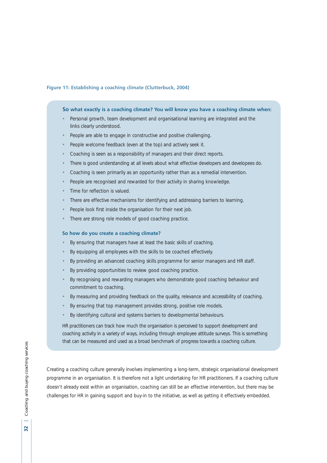## **Figure 11: Establishing a coaching climate (Clutterbuck, 2004)**

#### **So what exactly is a coaching climate? You will know you have a coaching climate when:**

- Personal growth, team development and organisational learning are integrated and the links clearly understood.
- People are able to engage in constructive and positive challenging.
- People welcome feedback (even at the top) and actively seek it.
- Coaching is seen as a responsibility of managers and their direct reports.
- There is good understanding at all levels about what effective developers and developees do.
- Coaching is seen primarily as an opportunity rather than as a remedial intervention.
- People are recognised and rewarded for their activity in sharing knowledge.
- Time for reflection is valued.
- There are effective mechanisms for identifying and addressing barriers to learning.
- People look first inside the organisation for their next job.
- There are strong role models of good coaching practice.

#### **So how do you create a coaching climate?**

- By ensuring that managers have at least the basic skills of coaching.
- By equipping all employees with the skills to be coached effectively.
- By providing an advanced coaching skills programme for senior managers and HR staff.
- By providing opportunities to review good coaching practice.
- By recognising and rewarding managers who demonstrate good coaching behaviour and commitment to coaching.
- By measuring and providing feedback on the quality, relevance and accessibility of coaching.
- By ensuring that top management provides strong, positive role models.
- By identifying cultural and systems barriers to developmental behaviours.

HR practitioners can track how much the organisation is perceived to support development and coaching activity in a variety of ways, including through employee attitude surveys. This is something that can be measured and used as a broad benchmark of progress towards a coaching culture.

Creating a coaching culture generally involves implementing a long-term, strategic organisational development programme in an organisation. It is therefore not a light undertaking for HR practitioners. If a coaching culture doesn't already exist within an organisation, coaching can still be an effective intervention, but there may be challenges for HR in gaining support and buy-in to the initiative, as well as getting it effectively embedded.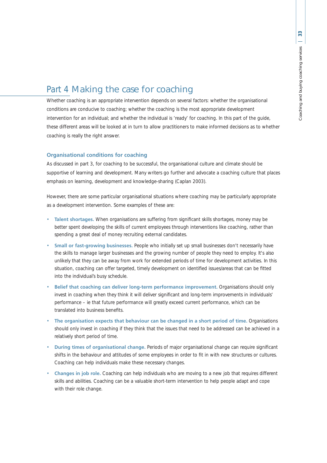## Part 4 Making the case for coaching

Whether coaching is an appropriate intervention depends on several factors: whether the organisational conditions are conducive to coaching; whether the coaching is the most appropriate development intervention for an individual; and whether the individual is 'ready' for coaching. In this part of the guide, these different areas will be looked at in turn to allow practitioners to make informed decisions as to whether coaching is really the right answer.

## **Organisational conditions for coaching**

As discussed in part 3, for coaching to be successful, the organisational culture and climate should be supportive of learning and development. Many writers go further and advocate a coaching culture that places emphasis on learning, development and knowledge-sharing (Caplan 2003).

However, there are some particular organisational situations where coaching may be particularly appropriate as a development intervention. Some examples of these are:

- **Talent shortages.** When organisations are suffering from significant skills shortages, money may be better spent developing the skills of current employees through interventions like coaching, rather than spending a great deal of money recruiting external candidates.
- **Small or fast-growing businesses.** People who initially set up small businesses don't necessarily have the skills to manage larger businesses and the growing number of people they need to employ. It's also unlikely that they can be away from work for extended periods of time for development activities. In this situation, coaching can offer targeted, timely development on identified issues/areas that can be fitted into the individual's busy schedule.
- **Belief that coaching can deliver long-term performance improvement.** Organisations should only invest in coaching when they think it will deliver significant and long-term improvements in individuals' performance – ie that future performance will greatly exceed current performance, which can be translated into business benefits.
- **The organisation expects that behaviour can be changed in a short period of time.** Organisations should only invest in coaching if they think that the issues that need to be addressed can be achieved in a relatively short period of time.
- **During times of organisational change.** Periods of major organisational change can require significant shifts in the behaviour and attitudes of some employees in order to fit in with new structures or cultures. Coaching can help individuals make these necessary changes.
- **Changes in job role.** Coaching can help individuals who are moving to a new job that requires different skills and abilities. Coaching can be a valuable short-term intervention to help people adapt and cope with their role change.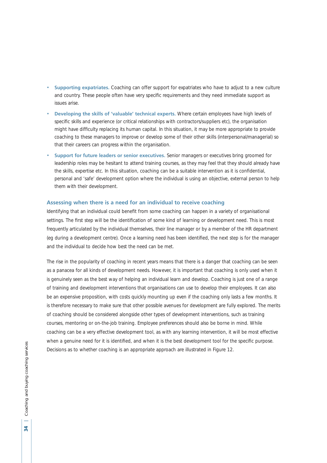- **Supporting expatriates.** Coaching can offer support for expatriates who have to adjust to a new culture and country. These people often have very specific requirements and they need immediate support as issues arise.
- **Developing the skills of 'valuable' technical experts.** Where certain employees have high levels of specific skills and experience (or critical relationships with contractors/suppliers etc), the organisation might have difficulty replacing its human capital. In this situation, it may be more appropriate to provide coaching to these managers to improve or develop some of their other skills (interpersonal/managerial) so that their careers can progress within the organisation.
- **Support for future leaders or senior executives.** Senior managers or executives bring groomed for leadership roles may be hesitant to attend training courses, as they may feel that they should already have the skills, expertise etc. In this situation, coaching can be a suitable intervention as it is confidential, personal and 'safe' development option where the individual is using an objective, external person to help them with their development.

## **Assessing when there is a need for an individual to receive coaching**

Identifying that an individual could benefit from some coaching can happen in a variety of organisational settings. The first step will be the identification of some kind of learning or development need. This is most frequently articulated by the individual themselves, their line manager or by a member of the HR department (eg during a development centre). Once a learning need has been identified, the next step is for the manager and the individual to decide how best the need can be met.

The rise in the popularity of coaching in recent years means that there is a danger that coaching can be seen as a panacea for all kinds of development needs. However, it is important that coaching is only used when it is genuinely seen as the best way of helping an individual learn and develop. Coaching is just one of a range of training and development interventions that organisations can use to develop their employees. It can also be an expensive proposition, with costs quickly mounting up even if the coaching only lasts a few months. It is therefore necessary to make sure that other possible avenues for development are fully explored. The merits of coaching should be considered alongside other types of development interventions, such as training courses, mentoring or on-the-job training. Employee preferences should also be borne in mind. While coaching can be a very effective development tool, as with any learning intervention, it will be most effective when a genuine need for it is identified, and when it is the best development tool for the specific purpose. Decisions as to whether coaching is an appropriate approach are illustrated in Figure 12.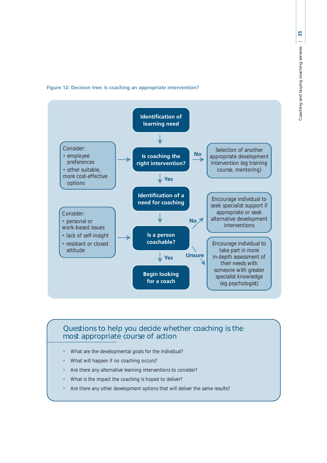## **Figure 12: Decision tree: Is coaching an appropriate intervention?**



## Questions to help you decide whether coaching is the most appropriate course of action

- What are the developmental goals for the individual?
- What will happen if no coaching occurs?
- Are there any alternative learning interventions to consider?
- What is the impact the coaching is hoped to deliver?
- Are there any other development options that will deliver the same results?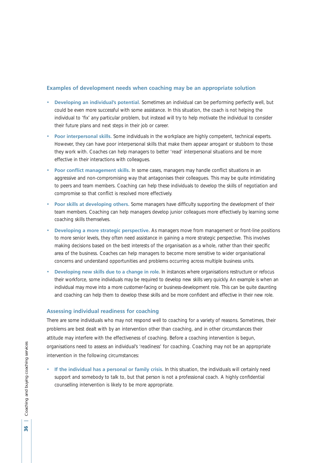## **Examples of development needs when coaching may be an appropriate solution**

- **Developing an individual's potential.** Sometimes an individual can be performing perfectly well, but could be even more successful with some assistance. In this situation, the coach is not helping the individual to 'fix' any particular problem, but instead will try to help motivate the individual to consider their future plans and next steps in their job or career.
- **Poor interpersonal skills.** Some individuals in the workplace are highly competent, technical experts. However, they can have poor interpersonal skills that make them appear arrogant or stubborn to those they work with. Coaches can help managers to better 'read' interpersonal situations and be more effective in their interactions with colleagues.
- **Poor conflict management skills.** In some cases, managers may handle conflict situations in an aggressive and non-compromising way that antagonises their colleagues. This may be quite intimidating to peers and team members. Coaching can help these individuals to develop the skills of negotiation and compromise so that conflict is resolved more effectively.
- **Poor skills at developing others.** Some managers have difficulty supporting the development of their team members. Coaching can help managers develop junior colleagues more effectively by learning some coaching skills themselves.
- **Developing a more strategic perspective.** As managers move from management or front-line positions to more senior levels, they often need assistance in gaining a more strategic perspective. This involves making decisions based on the best interests of the organisation as a whole, rather than their specific area of the business. Coaches can help managers to become more sensitive to wider organisational concerns and understand opportunities and problems occurring across multiple business units.
- **Developing new skills due to a change in role.** In instances where organisations restructure or refocus their workforce, some individuals may be required to develop new skills very quickly. An example is when an individual may move into a more customer-facing or business-development role. This can be quite daunting and coaching can help them to develop these skills and be more confident and effective in their new role.

#### **Assessing individual readiness for coaching**

There are some individuals who may not respond well to coaching for a variety of reasons. Sometimes, their problems are best dealt with by an intervention other than coaching, and in other circumstances their attitude may interfere with the effectiveness of coaching. Before a coaching intervention is begun, organisations need to assess an individual's 'readiness' for coaching. Coaching may not be an appropriate intervention in the following circumstances:

• **If the individual has a personal or family crisis.** In this situation, the individuals will certainly need support and somebody to talk to, but that person is not a professional coach. A highly confidential counselling intervention is likely to be more appropriate.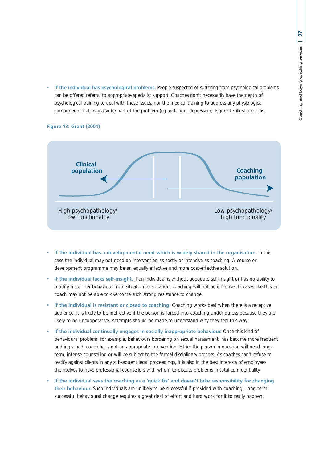• **If the individual has psychological problems.** People suspected of suffering from psychological problems can be offered referral to appropriate specialist support. Coaches don't necessarily have the depth of psychological training to deal with these issues, nor the medical training to address any physiological components that may also be part of the problem (eg addiction, depression). Figure 13 illustrates this.



# **Figure 13: Grant (2001)**

- **If the individual has a developmental need which is widely shared in the organisation.** In this case the individual may not need an intervention as costly or intensive as coaching. A course or development programme may be an equally effective and more cost-effective solution.
- **If the individual lacks self-insight.** If an individual is without adequate self-insight or has no ability to modify his or her behaviour from situation to situation, coaching will not be effective. In cases like this, a coach may not be able to overcome such strong resistance to change.
- If the individual is resistant or closed to coaching. Coaching works best when there is a receptive audience. It is likely to be ineffective if the person is forced into coaching under duress because they are likely to be uncooperative. Attempts should be made to understand why they feel this way.
- **If the individual continually engages in socially inappropriate behaviour.** Once this kind of behavioural problem, for example, behaviours bordering on sexual harassment, has become more frequent and ingrained, coaching is not an appropriate intervention. Either the person in question will need longterm, intense counselling or will be subject to the formal disciplinary process. As coaches can't refuse to testify against clients in any subsequent legal proceedings, it is also in the best interests of employees themselves to have professional counsellors with whom to discuss problems in total confidentiality.
- **If the individual sees the coaching as a 'quick fix' and doesn't take responsibility for changing their behaviour.** Such individuals are unlikely to be successful if provided with coaching. Long-term successful behavioural change requires a great deal of effort and hard work for it to really happen.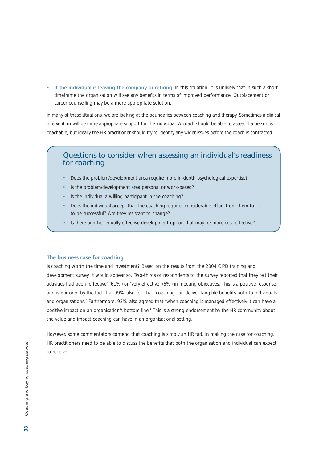• **If the individual is leaving the company or retiring.** In this situation, it is unlikely that in such a short timeframe the organisation will see any benefits in terms of improved performance. Outplacement or career counselling may be a more appropriate solution.

In many of these situations, we are looking at the boundaries between coaching and therapy. Sometimes a clinical intervention will be more appropriate support for the individual. A coach should be able to assess if a person is coachable, but ideally the HR practitioner should try to identify any wider issues before the coach is contracted.

# Questions to consider when assessing an individual's readiness for coaching

- Does the problem/development area require more in-depth psychological expertise?
- Is the problem/development area personal or work-based?
- Is the individual a willing participant in the coaching?
- Does the individual accept that the coaching requires considerable effort from them for it to be successful? Are they resistant to change?
- Is there another equally effective development option that may be more cost-effective?

#### **The business case for coaching**

Is coaching worth the time and investment? Based on the results from the 2004 CIPD training and development survey, it would appear so. Two-thirds of respondents to the survey reported that they felt their activities had been 'effective' (61%) or 'very effective' (6%) in meeting objectives. This is a positive response and is mirrored by the fact that 99% also felt that 'coaching can deliver tangible benefits both to individuals and organisations.' Furthermore, 92% also agreed that 'when coaching is managed effectively it can have a positive impact on an organisation's bottom line.' This is a strong endorsement by the HR community about the value and impact coaching can have in an organisational setting.

However, some commentators contend that coaching is simply an HR fad. In making the case for coaching, HR practitioners need to be able to discuss the benefits that both the organisation and individual can expect to receive.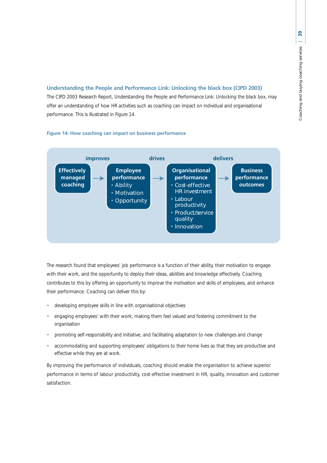## **Understanding the People and Performance Link: Unlocking the black box (CIPD 2003)**

The CIPD 2003 Research Report, *Understanding the People and Performance Link: Unlocking the black box*, may offer an understanding of how HR activities such as coaching can impact on individual and organisational performance. This is illustrated in Figure 14.



**Figure 14: How coaching can impact on business performance**

The research found that employees' job performance is a function of their ability, their motivation to engage with their work, and the opportunity to deploy their ideas, abilities and knowledge effectively. Coaching contributes to this by offering an opportunity to improve the motivation and skills of employees, and enhance their performance. Coaching can deliver this by:

- developing employee skills in line with organisational objectives
- engaging employees' with their work, making them feel valued and fostering commitment to the organisation
- promoting self-responsibility and initiative, and facilitating adaptation to new challenges and change
- accommodating and supporting employees' obligations to their home lives so that they are productive and effective while they are at work.

By improving the performance of individuals, coaching should enable the organisation to achieve superior performance in terms of labour productivity, cost-effective investment in HR, quality, innovation and customer satisfaction.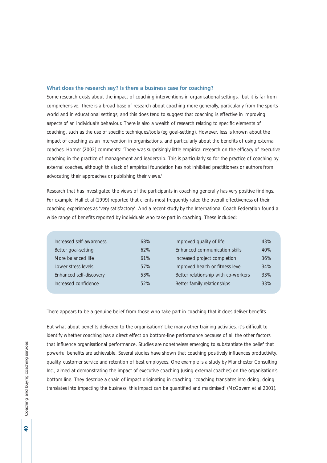#### **What does the research say? Is there a business case for coaching?**

Some research exists about the impact of coaching interventions in organisational settings, but it is far from comprehensive. There is a broad base of research about coaching more generally, particularly from the sports world and in educational settings, and this does tend to suggest that coaching is effective in improving aspects of an individual's behaviour. There is also a wealth of research relating to specific elements of coaching, such as the use of specific techniques/tools (eg goal-setting). However, less is known about the impact of coaching as an intervention in organisations, and particularly about the benefits of using external coaches. Horner (2002) comments: 'There was surprisingly little empirical research on the efficacy of executive coaching in the practice of management and leadership. This is particularly so for the practice of coaching by external coaches, although this lack of empirical foundation has not inhibited practitioners or authors from advocating their approaches or publishing their views.'

Research that has investigated the views of the participants in coaching generally has very positive findings. For example, Hall et al (1999) reported that clients most frequently rated the overall effectiveness of their coaching experiences as 'very satisfactory'. And a recent study by the International Coach Federation found a wide range of benefits reported by individuals who take part in coaching. These included:

| Increased self-awareness | 68% | Improved quality of life            | 43% |
|--------------------------|-----|-------------------------------------|-----|
| Better goal-setting      | 62% | Enhanced communication skills       | 40% |
| More balanced life       | 61% | Increased project completion        | 36% |
| Lower stress levels      | 57% | Improved health or fitness level    | 34% |
| Enhanced self-discovery  | 53% | Better relationship with co-workers | 33% |
| Increased confidence     | 52% | Better family relationships         | 33% |

There appears to be a genuine belief from those who take part in coaching that it does deliver benefits.

But what about benefits delivered to the organisation? Like many other training activities, it's difficult to identify whether coaching has a direct effect on bottom-line performance because of all the other factors that influence organisational performance. Studies are nonetheless emerging to substantiate the belief that powerful benefits are achievable. Several studies have shown that coaching positively influences productivity, quality, customer service and retention of best employees. One example is a study by Manchester Consulting Inc., aimed at demonstrating the impact of executive coaching (using external coaches) on the organisation's bottom line. They describe a chain of impact originating in coaching: 'coaching translates into doing, doing translates into impacting the business, this impact can be quantified and maximised' (McGovern et al 2001).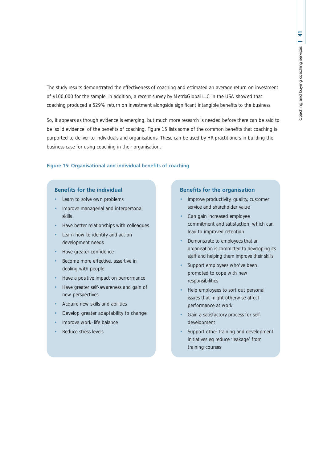The study results demonstrated the effectiveness of coaching and estimated an average return on investment of \$100,000 for the sample. In addition, a recent survey by MetrixGlobal LLC in the USA showed that coaching produced a 529% return on investment alongside significant intangible benefits to the business.

So, it appears as though evidence is emerging, but much more research is needed before there can be said to be 'solid evidence' of the benefits of coaching. Figure 15 lists some of the common benefits that coaching is purported to deliver to individuals and organisations. These can be used by HR practitioners in building the business case for using coaching in their organisation.

#### **Figure 15: Organisational and individual benefits of coaching**

# **Benefits for the individual**

- Learn to solve own problems
- Improve managerial and interpersonal skills
- Have better relationships with colleagues
- Learn how to identify and act on development needs
- Have greater confidence
- Become more effective, assertive in dealing with people
- Have a positive impact on performance
- Have greater self-awareness and gain of new perspectives
- Acquire new skills and abilities
- Develop greater adaptability to change
- Improve work–life balance
- Reduce stress levels

#### **Benefits for the organisation**

- Improve productivity, quality, customer service and shareholder value
- Can gain increased employee commitment and satisfaction, which can lead to improved retention
- Demonstrate to employees that an organisation is committed to developing its staff and helping them improve their skills
- Support employees who've been promoted to cope with new responsibilities
- Help employees to sort out personal issues that might otherwise affect performance at work
- Gain a satisfactory process for selfdevelopment
- Support other training and development initiatives eg reduce 'leakage' from training courses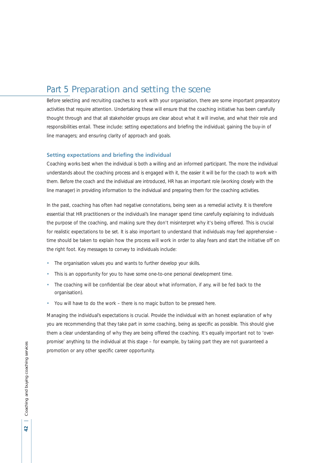# Part 5 Preparation and setting the scene

Before selecting and recruiting coaches to work with your organisation, there are some important preparatory activities that require attention. Undertaking these will ensure that the coaching initiative has been carefully thought through and that all stakeholder groups are clear about what it will involve, and what their role and responsibilities entail. These include: setting expectations and briefing the individual; gaining the buy-in of line managers; and ensuring clarity of approach and goals.

# **Setting expectations and briefing the individual**

Coaching works best when the individual is both a willing and an informed participant. The more the individual understands about the coaching process and is engaged with it, the easier it will be for the coach to work with them. Before the coach and the individual are introduced, HR has an important role (working closely with the line manager) in providing information to the individual and preparing them for the coaching activities.

In the past, coaching has often had negative connotations, being seen as a remedial activity. It is therefore essential that HR practitioners or the individual's line manager spend time carefully explaining to individuals the purpose of the coaching, and making sure they don't misinterpret why it's being offered. This is crucial for realistic expectations to be set. It is also important to understand that individuals may feel apprehensive – time should be taken to explain how the process will work in order to allay fears and start the initiative off on the right foot. Key messages to convey to individuals include:

- The organisation values you and wants to further develop your skills.
- This is an opportunity for you to have some one-to-one personal development time.
- The coaching will be confidential (be clear about what information, if any, will be fed back to the organisation).
- You will have to do the work there is no magic button to be pressed here.

Managing the individual's expectations is crucial. Provide the individual with an honest explanation of why you are recommending that they take part in some coaching, being as specific as possible. This should give them a clear understanding of why they are being offered the coaching. It's equally important not to 'overpromise' anything to the individual at this stage – for example, by taking part they are not guaranteed a promotion or any other specific career opportunity.

 $\overline{a}$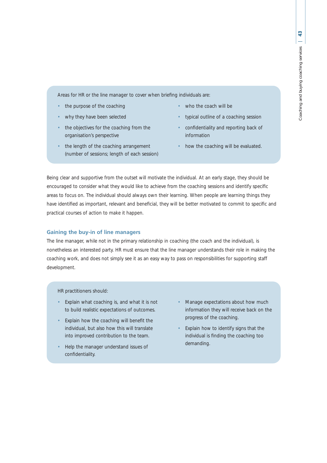Areas for HR or the line manager to cover when briefing individuals are:

- the purpose of the coaching
- why they have been selected
- the objectives for the coaching from the organisation's perspective
- the length of the coaching arrangement (number of sessions; length of each session)
- who the coach will be
- typical outline of a coaching session
- confidentiality and reporting back of information
- how the coaching will be evaluated.

Being clear and supportive from the outset will motivate the individual. At an early stage, they should be encouraged to consider what they would like to achieve from the coaching sessions and identify specific areas to focus on. The individual should always own their learning. When people are learning things they have identified as important, relevant and beneficial, they will be better motivated to commit to specific and practical courses of action to make it happen.

# **Gaining the buy-in of line managers**

The line manager, while not in the primary relationship in coaching (the coach and the individual), is nonetheless an interested party. HR must ensure that the line manager understands their role in making the coaching work, and does not simply see it as an easy way to pass on responsibilities for supporting staff development.

HR practitioners should:

- Explain what coaching is, and what it is not to build realistic expectations of outcomes.
- Explain how the coaching will benefit the individual, but also how this will translate into improved contribution to the team.
- Help the manager understand issues of confidentiality.
- Manage expectations about how much information they will receive back on the progress of the coaching.
- Explain how to identify signs that the individual is finding the coaching too demanding.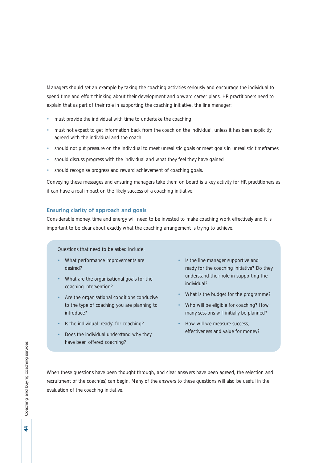Managers should set an example by taking the coaching activities seriously and encourage the individual to spend time and effort thinking about their development and onward career plans. HR practitioners need to explain that as part of their role in supporting the coaching initiative, the line manager:

- must provide the individual with time to undertake the coaching
- must not expect to get information back from the coach on the individual, unless it has been explicitly agreed with the individual and the coach
- should not put pressure on the individual to meet unrealistic goals or meet goals in unrealistic timeframes
- should discuss progress with the individual and what they feel they have gained
- should recognise progress and reward achievement of coaching goals.

Conveying these messages and ensuring managers take them on board is a key activity for HR practitioners as it can have a real impact on the likely success of a coaching initiative.

#### **Ensuring clarity of approach and goals**

Considerable money, time and energy will need to be invested to make coaching work effectively and it is important to be clear about exactly what the coaching arrangement is trying to achieve.

Questions that need to be asked include:

- What performance improvements are desired?
- What are the organisational goals for the coaching intervention?
- Are the organisational conditions conducive to the type of coaching you are planning to introduce?
- Is the individual 'ready' for coaching?
- Does the individual understand why they have been offered coaching?
- Is the line manager supportive and ready for the coaching initiative? Do they understand their role in supporting the individual?
- What is the budget for the programme?
- Who will be eligible for coaching? How many sessions will initially be planned?
- How will we measure success, effectiveness and value for money?

When these questions have been thought through, and clear answers have been agreed, the selection and recruitment of the coach(es) can begin. Many of the answers to these questions will also be useful in the evaluation of the coaching initiative.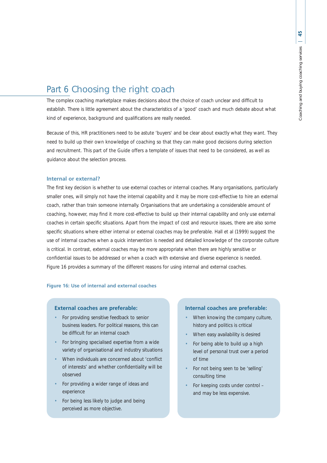# Part 6 Choosing the right coach

The complex coaching marketplace makes decisions about the choice of coach unclear and difficult to establish. There is little agreement about the characteristics of a 'good' coach and much debate about what kind of experience, background and qualifications are really needed.

Because of this, HR practitioners need to be astute 'buyers' and be clear about exactly what they want. They need to build up their own knowledge of coaching so that they can make good decisions during selection and recruitment. This part of the Guide offers a template of issues that need to be considered, as well as guidance about the selection process.

# **Internal or external?**

The first key decision is whether to use external coaches or internal coaches. Many organisations, particularly smaller ones, will simply not have the internal capability and it may be more cost-effective to hire an external coach, rather than train someone internally. Organisations that are undertaking a considerable amount of coaching, however, may find it more cost-effective to build up their internal capability and only use external coaches in certain specific situations. Apart from the impact of cost and resource issues, there are also some specific situations where either internal or external coaches may be preferable. Hall et al (1999) suggest the use of internal coaches when a quick intervention is needed and detailed knowledge of the corporate culture is critical. In contrast, external coaches may be more appropriate when there are highly sensitive or confidential issues to be addressed or when a coach with extensive and diverse experience is needed. Figure 16 provides a summary of the different reasons for using internal and external coaches.

# **Figure 16: Use of internal and external coaches**

#### **External coaches are preferable:**

- For providing sensitive feedback to senior business leaders. For political reasons, this can be difficult for an internal coach
- For bringing specialised expertise from a wide variety of organisational and industry situations
- When individuals are concerned about 'conflict of interests' and whether confidentiality will be observed
- For providing a wider range of ideas and experience
- For being less likely to judge and being perceived as more objective.

#### **Internal coaches are preferable:**

- When knowing the company culture, history and politics is critical
- When easy availability is desired
- For being able to build up a high level of personal trust over a period of time
- For not being seen to be 'selling' consulting time
- For keeping costs under control and may be less expensive.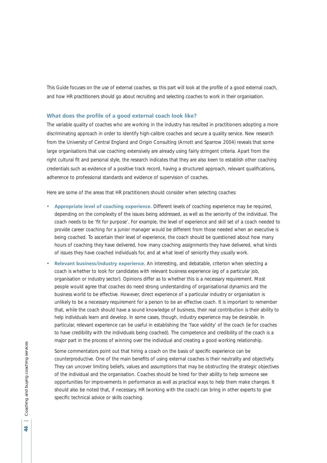This Guide focuses on the use of external coaches, so this part will look at the profile of a good external coach, and how HR practitioners should go about recruiting and selecting coaches to work in their organisation.

#### **What does the profile of a good external coach look like?**

The variable quality of coaches who are working in the industry has resulted in practitioners adopting a more discriminating approach in order to identify high-calibre coaches and secure a quality service. New research from the University of Central England and Origin Consulting (Arnott and Sparrow 2004) reveals that some large organisations that use coaching extensively are already using fairly stringent criteria. Apart from the right cultural fit and personal style, the research indicates that they are also keen to establish other coaching credentials such as evidence of a positive track record, having a structured approach, relevant qualifications, adherence to professional standards and evidence of supervision of coaches.

Here are some of the areas that HR practitioners should consider when selecting coaches:

- **Appropriate level of coaching experience.** Different levels of coaching experience may be required, depending on the complexity of the issues being addressed, as well as the seniority of the individual. The coach needs to be 'fit for purpose'. For example, the level of experience and skill set of a coach needed to provide career coaching for a junior manager would be different from those needed when an executive is being coached. To ascertain their level of experience, the coach should be questioned about how many hours of coaching they have delivered, how many coaching assignments they have delivered, what kinds of issues they have coached individuals for, and at what level of seniority they usually work.
- **Relevant business/industry experience.** An interesting, and debatable, criterion when selecting a coach is whether to look for candidates with relevant business experience (eg of a particular job, organisation or industry sector). Opinions differ as to whether this is a necessary requirement. Most people would agree that coaches do need strong understanding of organisational dynamics and the business world to be effective. However, direct experience of a particular industry or organisation is unlikely to be a necessary requirement for a person to be an effective coach. It is important to remember that, while the coach should have a sound knowledge of business, their real contribution is their ability to help individuals learn and develop. In some cases, though, industry experience may be desirable. In particular, relevant experience can be useful in establishing the 'face validity' of the coach (ie for coaches to have credibility with the individuals being coached). The competence and credibility of the coach is a major part in the process of winning over the individual and creating a good working relationship.

Some commentators point out that hiring a coach on the basis of specific experience can be counterproductive. One of the main benefits of using external coaches is their neutrality and objectivity. They can uncover limiting beliefs, values and assumptions that may be obstructing the strategic objectives of the individual and the organisation. Coaches should be hired for their ability to help someone see opportunities for improvements in performance as well as practical ways to help them make changes. It should also be noted that, if necessary, HR (working with the coach) can bring in other experts to give specific technical advice or skills coaching.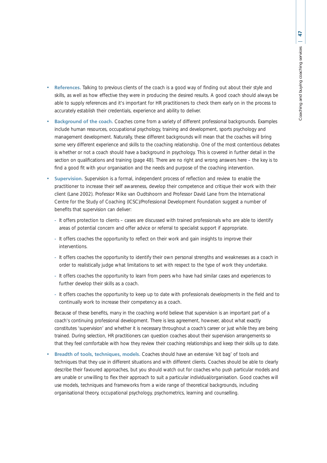- **References.** Talking to previous clients of the coach is a good way of finding out about their style and skills, as well as how effective they were in producing the desired results. A good coach should always be able to supply references and it's important for HR practitioners to check them early on in the process to accurately establish their credentials, experience and ability to deliver.
- **Background of the coach.** Coaches come from a variety of different professional backgrounds. Examples include human resources, occupational psychology, training and development, sports psychology and management development. Naturally, these different backgrounds will mean that the coaches will bring some very different experience and skills to the coaching relationship. One of the most contentious debates is whether or not a coach should have a background in psychology. This is covered in further detail in the section on qualifications and training (page 48). There are no right and wrong answers here – the key is to find a good fit with your organisation and the needs and purpose of the coaching intervention.
- **Supervision.** Supervision is a formal, independent process of reflection and review to enable the practitioner to increase their self awareness, develop their competence and critique their work with their client (Lane 2002). Professor Mike van Oudtshoorn and Professor David Lane from the International Centre for the Study of Coaching (ICSC)/Professional Development Foundation suggest a number of benefits that supervision can deliver:
	- **-** It offers protection to clients cases are discussed with trained professionals who are able to identify areas of potential concern and offer advice or referral to specialist support if appropriate.
	- **-** It offers coaches the opportunity to reflect on their work and gain insights to improve their interventions.
	- **-** It offers coaches the opportunity to identify their own personal strengths and weaknesses as a coach in order to realistically judge what limitations to set with respect to the type of work they undertake.
	- **-** It offers coaches the opportunity to learn from peers who have had similar cases and experiences to further develop their skills as a coach.
	- **-** It offers coaches the opportunity to keep up to date with professionals developments in the field and to continually work to increase their competency as a coach.

Because of these benefits, many in the coaching world believe that supervision is an important part of a coach's continuing professional development. There is less agreement, however, about what exactly constitutes 'supervision' and whether it is necessary throughout a coach's career or just while they are being trained. During selection, HR practitioners can question coaches about their supervision arrangements so that they feel comfortable with how they review their coaching relationships and keep their skills up to date.

• **Breadth of tools, techniques, models.** Coaches should have an extensive 'kit bag' of tools and techniques that they use in different situations and with different clients. Coaches should be able to clearly describe their favoured approaches, but you should watch out for coaches who push particular models and are unable or unwilling to flex their approach to suit a particular individual/organisation. Good coaches will use models, techniques and frameworks from a wide range of theoretical backgrounds, including organisational theory, occupational psychology, psychometrics, learning and counselling.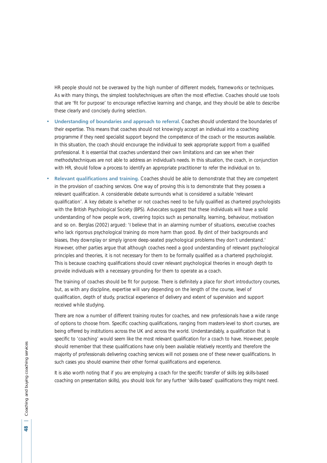HR people should not be overawed by the high number of different models, frameworks or techniques. As with many things, the simplest tools/techniques are often the most effective. Coaches should use tools that are 'fit for purpose' to encourage reflective learning and change, and they should be able to describe these clearly and concisely during selection.

- **Understanding of boundaries and approach to referral.** Coaches should understand the boundaries of their expertise. This means that coaches should not knowingly accept an individual into a coaching programme if they need specialist support beyond the competence of the coach or the resources available. In this situation, the coach should encourage the individual to seek appropriate support from a qualified professional. It is essential that coaches understand their own limitations and can see when their methods/techniques are not able to address an individual's needs. In this situation, the coach, in conjunction with HR, should follow a process to identify an appropriate practitioner to refer the individual on to.
- **Relevant qualifications and training.** Coaches should be able to demonstrate that they are competent in the provision of coaching services. One way of proving this is to demonstrate that they possess a relevant qualification. A considerable debate surrounds what is considered a suitable 'relevant qualification'. A key debate is whether or not coaches need to be fully qualified as chartered psychologists with the British Psychological Society (BPS). Advocates suggest that these individuals will have a solid understanding of how people work, covering topics such as personality, learning, behaviour, motivation and so on. Berglas (2002) argued: 'I believe that in an alarming number of situations, executive coaches who lack rigorous psychological training do more harm than good. By dint of their backgrounds and biases, they downplay or simply ignore deep-seated psychological problems they don't understand.' However, other parties argue that although coaches need a good understanding of relevant psychological principles and theories, it is not necessary for them to be formally qualified as a chartered psychologist. This is because coaching qualifications should cover relevant psychological theories in enough depth to provide individuals with a necessary grounding for them to operate as a coach.

The training of coaches should be fit for purpose. There is definitely a place for short introductory courses, but, as with any discipline, expertise will vary depending on the length of the course, level of qualification, depth of study, practical experience of delivery and extent of supervision and support received while studying.

There are now a number of different training routes for coaches, and new professionals have a wide range of options to choose from. Specific coaching qualifications, ranging from masters-level to short courses, are being offered by institutions across the UK and across the world. Understandably, a qualification that is specific to 'coaching' would seem like the most relevant qualification for a coach to have. However, people should remember that these qualifications have only been available relatively recently and therefore the majority of professionals delivering coaching services will not possess one of these newer qualifications. In such cases you should examine their other formal qualifications and experience.

It is also worth noting that if you are employing a coach for the specific transfer of skills (eg skills-based coaching on presentation skills), you should look for any further 'skills-based' qualifications they might need.

≌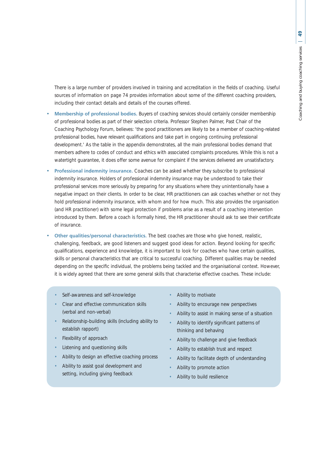There is a large number of providers involved in training and accreditation in the fields of coaching. Useful sources of information on page 74 provides information about some of the different coaching providers, including their contact details and details of the courses offered.

- **Membership of professional bodies.** Buyers of coaching services should certainly consider membership of professional bodies as part of their selection criteria. Professor Stephen Palmer, Past Chair of the Coaching Psychology Forum, believes: 'the good practitioners are likely to be a member of coaching-related professional bodies, have relevant qualifications and take part in ongoing continuing professional development.' As the table in the appendix demonstrates, all the main professional bodies demand that members adhere to codes of conduct and ethics with associated complaints procedures. While this is not a watertight guarantee, it does offer some avenue for complaint if the services delivered are unsatisfactory.
- **Professional indemnity insurance.** Coaches can be asked whether they subscribe to professional indemnity insurance. Holders of professional indemnity insurance may be understood to take their professional services more seriously by preparing for any situations where they unintentionally have a negative impact on their clients. In order to be clear, HR practitioners can ask coaches whether or not they hold professional indemnity insurance, with whom and for how much. This also provides the organisation (and HR practitioner) with some legal protection if problems arise as a result of a coaching intervention introduced by them. Before a coach is formally hired, the HR practitioner should ask to see their certificate of insurance.
- **Other qualities/personal characteristics.** The best coaches are those who give honest, realistic, challenging, feedback, are good listeners and suggest good ideas for action. Beyond looking for specific qualifications, experience and knowledge, it is important to look for coaches who have certain qualities, skills or personal characteristics that are critical to successful coaching. Different qualities may be needed depending on the specific individual, the problems being tackled and the organisational context. However, it is widely agreed that there are some general skills that characterise effective coaches. These include:
	- Self-awareness and self-knowledge
	- Clear and effective communication skills (verbal and non-verbal)
	- Relationship-building skills (including ability to establish rapport)
	- Flexibility of approach
	- Listening and questioning skills
	- Ability to design an effective coaching process
	- Ability to assist goal development and setting, including giving feedback
- Ability to motivate
- Ability to encourage new perspectives
- Ability to assist in making sense of a situation
- Ability to identify significant patterns of thinking and behaving
- Ability to challenge and give feedback
- Ability to establish trust and respect
- Ability to facilitate depth of understanding
- Ability to promote action
- Ability to build resilience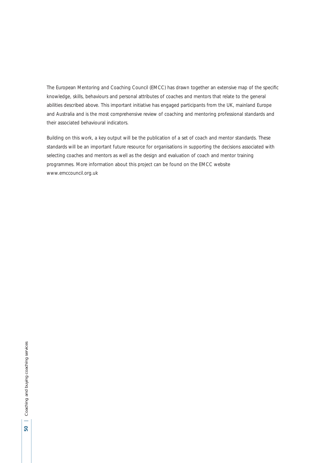The European Mentoring and Coaching Council (EMCC) has drawn together an extensive map of the specific knowledge, skills, behaviours and personal attributes of coaches and mentors that relate to the general abilities described above. This important initiative has engaged participants from the UK, mainland Europe and Australia and is the most comprehensive review of coaching and mentoring professional standards and their associated behavioural indicators.

Building on this work, a key output will be the publication of a set of coach and mentor standards. These standards will be an important future resource for organisations in supporting the decisions associated with selecting coaches and mentors as well as the design and evaluation of coach and mentor training programmes. More information about this project can be found on the EMCC website www.emccouncil.org.uk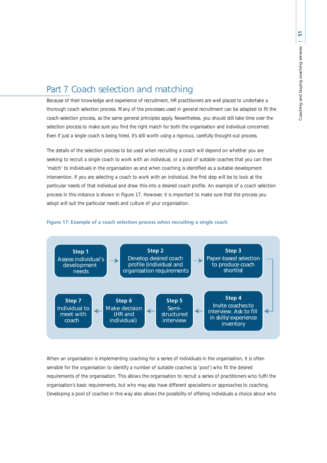# Part 7 Coach selection and matching

Because of their knowledge and experience of recruitment, HR practitioners are well placed to undertake a thorough coach selection process. Many of the processes used in general recruitment can be adapted to fit the coach-selection process, as the same general principles apply. Nevertheless, you should still take time over the selection process to make sure you find the right match for both the organisation and individual concerned. Even if just a single coach is being hired, it's still worth using a rigorous, carefully thought-out process.

The details of the selection process to be used when recruiting a coach will depend on whether you are seeking to recruit a single coach to work with an individual, or a pool of suitable coaches that you can then 'match' to individuals in the organisation as and when coaching is identified as a suitable development intervention. If you are selecting a coach to work with an individual, the first step will be to look at the particular needs of that individual and draw this into a desired coach profile. An example of a coach selection process in this instance is shown in Figure 17. However, it is important to make sure that the process you adopt will suit the particular needs and culture of your organisation.



#### **Figure 17: Example of a coach selection process when recruiting a single coach**

When an organisation is implementing coaching for a series of individuals in the organisation, it is often sensible for the organisation to identify a number of suitable coaches (a 'pool') who fit the desired requirements of the organisation. This allows the organisation to recruit a series of practitioners who fulfil the organisation's basic requirements, but who may also have different specialisms or approaches to coaching. Developing a pool of coaches in this way also allows the possibility of offering individuals a choice about who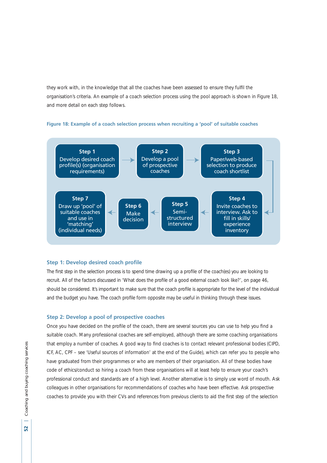they work with, in the knowledge that all the coaches have been assessed to ensure they fulfil the organisation's criteria. An example of a coach selection process using the pool approach is shown in Figure 18, and more detail on each step follows.



### **Figure 18: Example of a coach selection process when recruiting a 'pool' of suitable coaches**

#### **Step 1: Develop desired coach profile**

The first step in the selection process is to spend time drawing up a profile of the coach(es) you are looking to recruit. All of the factors discussed in 'What does the profile of a good external coach look like?', on page 46, should be considered. It's important to make sure that the coach profile is appropriate for the level of the individual and the budget you have. The coach profile form opposite may be useful in thinking through these issues.

#### **Step 2: Develop a pool of prospective coaches**

Once you have decided on the profile of the coach, there are several sources you can use to help you find a suitable coach. Many professional coaches are self-employed, although there are some coaching organisations that employ a number of coaches. A good way to find coaches is to contact relevant professional bodies (CIPD, ICF, AC, CPF – see 'Useful sources of information' at the end of the Guide), which can refer you to people who have graduated from their programmes or who are members of their organisation. All of these bodies have code of ethics/conduct so hiring a coach from these organisations will at least help to ensure your coach's professional conduct and standards are of a high level. Another alternative is to simply use word of mouth. Ask colleagues in other organisations for recommendations of coaches who have been effective. Ask prospective coaches to provide you with their CVs and references from previous clients to aid the first step of the selection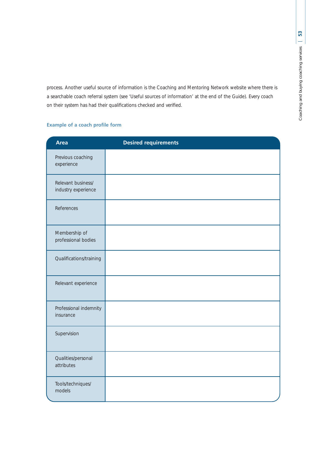process. Another useful source of information is the Coaching and Mentoring Network website where there is a searchable coach referral system (see 'Useful sources of information' at the end of the Guide). Every coach on their system has had their qualifications checked and verified.

# **Example of a coach profile form**

| <b>Area</b>                               | <b>Desired requirements</b> |
|-------------------------------------------|-----------------------------|
| Previous coaching<br>experience           |                             |
| Relevant business/<br>industry experience |                             |
| References                                |                             |
| Membership of<br>professional bodies      |                             |
| Qualifications/training                   |                             |
| Relevant experience                       |                             |
| Professional indemnity<br>insurance       |                             |
| Supervision                               |                             |
| Qualities/personal<br>attributes          |                             |
| Tools/techniques/<br>models               |                             |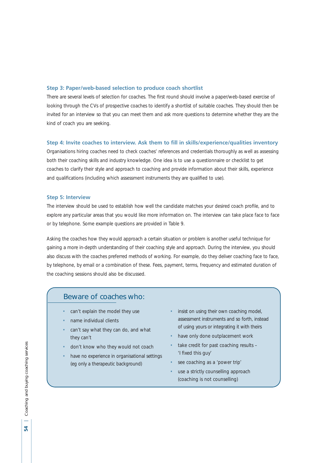#### **Step 3: Paper/web-based selection to produce coach shortlist**

There are several levels of selection for coaches. The first round should involve a paper/web-based exercise of looking through the CVs of prospective coaches to identify a shortlist of suitable coaches. They should then be invited for an interview so that you can meet them and ask more questions to determine whether they are the kind of coach you are seeking.

## **Step 4: Invite coaches to interview. Ask them to fill in skills/experience/qualities inventory**

Organisations hiring coaches need to check coaches' references and credentials thoroughly as well as assessing both their coaching skills and industry knowledge. One idea is to use a questionnaire or checklist to get coaches to clarify their style and approach to coaching and provide information about their skills, experience and qualifications (including which assessment instruments they are qualified to use).

#### **Step 5: Interview**

The interview should be used to establish how well the candidate matches your desired coach profile, and to explore any particular areas that you would like more information on. The interview can take place face to face or by telephone. Some example questions are provided in Table 9.

Asking the coaches how they would approach a certain situation or problem is another useful technique for gaining a more in-depth understanding of their coaching style and approach. During the interview, you should also discuss with the coaches preferred methods of working. For example, do they deliver coaching face to face, by telephone, by email or a combination of these. Fees, payment, terms, frequency and estimated duration of the coaching sessions should also be discussed.

# Beware of coaches who:

- can't explain the model they use
- name individual clients
- can't say what they can do, and what they can't
- don't know who they would not coach
- have no experience in organisational settings (eg only a therapeutic background)
- insist on using their own coaching model, assessment instruments and so forth, instead of using yours or integrating it with theirs
- have only done outplacement work
- take credit for past coaching results 'I fixed this guy'
- see coaching as a 'power trip'
- use a strictly counselling approach (coaching is not counselling)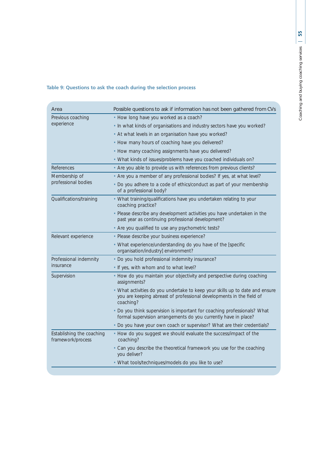# **Table 9: Questions to ask the coach during the selection process**

| Area                                           | Possible questions to ask if information has not been gathered from CVs                                                                                           |  |  |
|------------------------------------------------|-------------------------------------------------------------------------------------------------------------------------------------------------------------------|--|--|
| Previous coaching                              | • How long have you worked as a coach?                                                                                                                            |  |  |
| experience                                     | . In what kinds of organisations and industry sectors have you worked?                                                                                            |  |  |
|                                                | • At what levels in an organisation have you worked?                                                                                                              |  |  |
|                                                | • How many hours of coaching have you delivered?                                                                                                                  |  |  |
|                                                | • How many coaching assignments have you delivered?                                                                                                               |  |  |
|                                                | • What kinds of issues/problems have you coached individuals on?                                                                                                  |  |  |
| References                                     | • Are you able to provide us with references from previous clients?                                                                                               |  |  |
| Membership of                                  | • Are you a member of any professional bodies? If yes, at what level?                                                                                             |  |  |
| professional bodies                            | • Do you adhere to a code of ethics/conduct as part of your membership<br>of a professional body?                                                                 |  |  |
| Qualifications/training                        | • What training/qualifications have you undertaken relating to your<br>coaching practice?                                                                         |  |  |
|                                                | · Please describe any development activities you have undertaken in the<br>past year as continuing professional development?                                      |  |  |
|                                                | • Are you qualified to use any psychometric tests?                                                                                                                |  |  |
| Relevant experience                            | · Please describe your business experience?                                                                                                                       |  |  |
|                                                | • What experience/understanding do you have of the [specific<br>organisation/industry] environment?                                                               |  |  |
| Professional indemnity                         | • Do you hold professional indemnity insurance?                                                                                                                   |  |  |
| insurance                                      | . If yes, with whom and to what level?                                                                                                                            |  |  |
| Supervision                                    | • How do you maintain your objectivity and perspective during coaching<br>assignments?                                                                            |  |  |
|                                                | • What activities do you undertake to keep your skills up to date and ensure<br>you are keeping abreast of professional developments in the field of<br>coaching? |  |  |
|                                                | • Do you think supervision is important for coaching professionals? What<br>formal supervision arrangements do you currently have in place?                       |  |  |
|                                                | . Do you have your own coach or supervisor? What are their credentials?                                                                                           |  |  |
| Establishing the coaching<br>framework/process | • How do you suggest we should evaluate the success/impact of the<br>coaching?                                                                                    |  |  |
|                                                | • Can you describe the theoretical framework you use for the coaching<br>you deliver?                                                                             |  |  |
|                                                | • What tools/techniques/models do you like to use?                                                                                                                |  |  |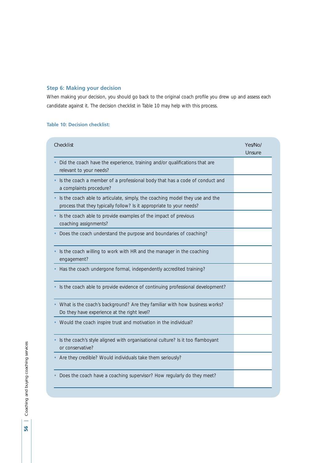# **Step 6: Making your decision**

When making your decision, you should go back to the original coach profile you drew up and assess each candidate against it. The decision checklist in Table 10 may help with this process.

# **Table 10: Decision checklist:**

| Checklist                                                                                                                                            | Yes/No/<br>Unsure |
|------------------------------------------------------------------------------------------------------------------------------------------------------|-------------------|
| Did the coach have the experience, training and/or qualifications that are<br>relevant to your needs?                                                |                   |
| Is the coach a member of a professional body that has a code of conduct and<br>a complaints procedure?                                               |                   |
| Is the coach able to articulate, simply, the coaching model they use and the<br>process that they typically follow? Is it appropriate to your needs? |                   |
| Is the coach able to provide examples of the impact of previous<br>coaching assignments?                                                             |                   |
| Does the coach understand the purpose and boundaries of coaching?                                                                                    |                   |
| Is the coach willing to work with HR and the manager in the coaching<br>engagement?                                                                  |                   |
| Has the coach undergone formal, independently accredited training?                                                                                   |                   |
| Is the coach able to provide evidence of continuing professional development?                                                                        |                   |
| What is the coach's background? Are they familiar with how business works?<br>Do they have experience at the right level?                            |                   |
| Would the coach inspire trust and motivation in the individual?                                                                                      |                   |
| Is the coach's style aligned with organisational culture? Is it too flamboyant<br>or conservative?                                                   |                   |
| Are they credible? Would individuals take them seriously?                                                                                            |                   |
| Does the coach have a coaching supervisor? How regularly do they meet?                                                                               |                   |

56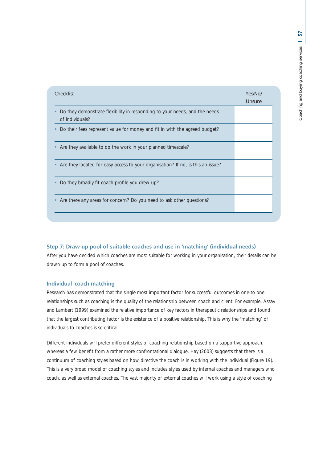| $\sim$ $\sim$ $\sim$ $\sim$ $\sim$      |
|-----------------------------------------|
| nononino<br>J                           |
| <b>^</b><br>J<br>١                      |
| ç                                       |
| i<br>j<br>a a a la im<br>$\overline{a}$ |

| Checklist                                                                                     | Yes/No/<br>Unsure |
|-----------------------------------------------------------------------------------------------|-------------------|
| Do they demonstrate flexibility in responding to your needs, and the needs<br>of individuals? |                   |
| Do their fees represent value for money and fit in with the agreed budget?                    |                   |
| Are they available to do the work in your planned timescale?                                  |                   |
| Are they located for easy access to your organisation? If no, is this an issue?               |                   |
| Do they broadly fit coach profile you drew up?                                                |                   |
| Are there any areas for concern? Do you need to ask other questions?                          |                   |
|                                                                                               |                   |

# **Step 7: Draw up pool of suitable coaches and use in 'matching' (individual needs)**

After you have decided which coaches are most suitable for working in your organisation, their details can be drawn up to form a pool of coaches.

#### **Individual–coach matching**

Research has demonstrated that the single most important factor for successful outcomes in one-to one relationships such as coaching is the quality of the relationship between coach and client. For example, Assay and Lambert (1999) examined the relative importance of key factors in therapeutic relationships and found that the largest contributing factor is the existence of a positive relationship. This is why the 'matching' of individuals to coaches is so critical.

Different individuals will prefer different styles of coaching relationship based on a supportive approach, whereas a few benefit from a rather more confrontational dialogue. Hay (2003) suggests that there is a continuum of coaching styles based on how directive the coach is in working with the individual (Figure 19). This is a very broad model of coaching styles and includes styles used by internal coaches and managers who coach, as well as external coaches. The vast majority of external coaches will work using a style of coaching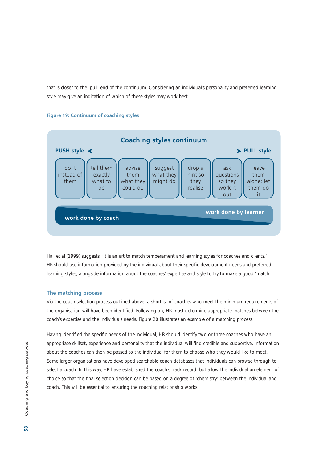that is closer to the 'pull' end of the continuum. Considering an individual's personality and preferred learning style may give an indication of which of these styles may work best.



#### **Figure 19: Continuum of coaching styles**

Hall et al (1999) suggests, 'it is an art to match temperament and learning styles for coaches and clients.' HR should use information provided by the individual about their specific development needs and preferred learning styles, alongside information about the coaches' expertise and style to try to make a good 'match'.

#### **The matching process**

Via the coach selection process outlined above, a shortlist of coaches who meet the minimum requirements of the organisation will have been identified. Following on, HR must determine appropriate matches between the coach's expertise and the individuals needs. Figure 20 illustrates an example of a matching process.

Having identified the specific needs of the individual, HR should identify two or three coaches who have an appropriate skillset, experience and personality that the individual will find credible and supportive. Information about the coaches can then be passed to the individual for them to choose who they would like to meet. Some larger organisations have developed searchable coach databases that individuals can browse through to select a coach. In this way, HR have established the coach's track record, but allow the individual an element of choice so that the final selection decision can be based on a degree of 'chemistry' between the individual and coach. This will be essential to ensuring the coaching relationship works.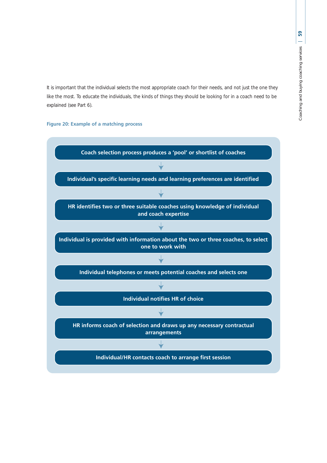It is important that the individual selects the most appropriate coach for their needs, and not just the one they like the most. To educate the individuals, the kinds of things they should be looking for in a coach need to be explained (see Part 6).

# **Figure 20: Example of a matching process**

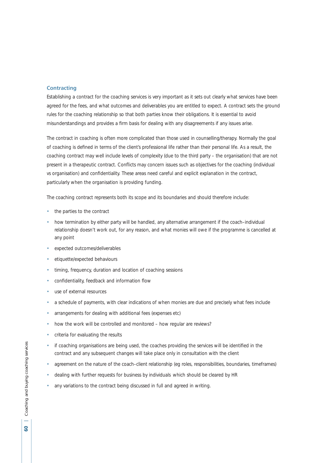#### **Contracting**

Establishing a contract for the coaching services is very important as it sets out clearly what services have been agreed for the fees, and what outcomes and deliverables you are entitled to expect. A contract sets the ground rules for the coaching relationship so that both parties know their obligations. It is essential to avoid misunderstandings and provides a firm basis for dealing with any disagreements if any issues arise.

The contract in coaching is often more complicated than those used in counselling/therapy. Normally the goal of coaching is defined in terms of the client's professional life rather than their personal life. As a result, the coaching contract may well include levels of complexity (due to the third party – the organisation) that are not present in a therapeutic contract. Conflicts may concern issues such as objectives for the coaching (individual vs organisation) and confidentiality. These areas need careful and explicit explanation in the contract, particularly when the organisation is providing funding.

The coaching contract represents both its scope and its boundaries and should therefore include:

- the parties to the contract
- how termination by either party will be handled, any alternative arrangement if the coach–individual relationship doesn't work out, for any reason, and what monies will owe if the programme is cancelled at any point
- expected outcomes/deliverables
- etiquette/expected behaviours
- timing, frequency, duration and location of coaching sessions
- confidentiality, feedback and information flow
- use of external resources
- a schedule of payments, with clear indications of when monies are due and precisely what fees include
- arrangements for dealing with additional fees (expenses etc)
- how the work will be controlled and monitored how regular are reviews?
- criteria for evaluating the results
- if coaching organisations are being used, the coaches providing the services will be identified in the contract and any subsequent changes will take place only in consultation with the client
- agreement on the nature of the coach–client relationship (eg roles, responsibilities, boundaries, timeframes)
- dealing with further requests for business by individuals which should be cleared by HR
- any variations to the contract being discussed in full and agreed in writing.

င္က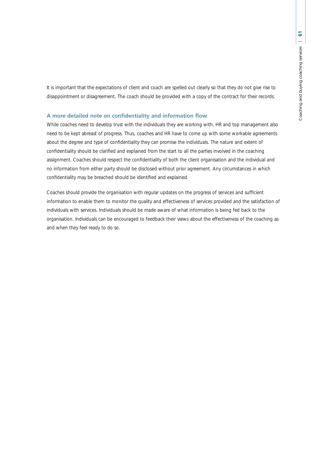It is important that the expectations of client and coach are spelled out clearly so that they do not give rise to disappointment or disagreement. The coach should be provided with a copy of the contract for their records.

#### **A more detailed note on confidentiality and information flow**

While coaches need to develop trust with the individuals they are working with, HR and top management also need to be kept abreast of progress. Thus, coaches and HR have to come up with some workable agreements about the degree and type of confidentiality they can promise the individuals. The nature and extent of confidentiality should be clarified and explained from the start to all the parties involved in the coaching assignment. Coaches should respect the confidentiality of both the client organisation and the individual and no information from either party should be disclosed without prior agreement. Any circumstances in which confidentiality may be breached should be identified and explained.

Coaches should provide the organisation with regular updates on the progress of services and sufficient information to enable them to monitor the quality and effectiveness of services provided and the satisfaction of individuals with services. Individuals should be made aware of what information is being fed back to the organisation. Individuals can be encouraged to feedback their views about the effectiveness of the coaching as and when they feel ready to do so.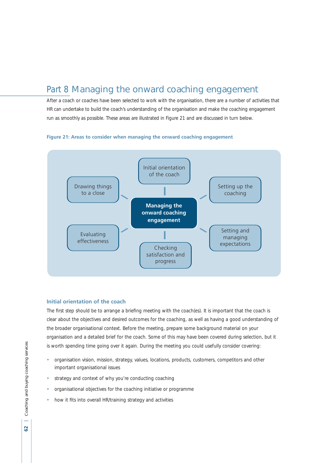# Part 8 Managing the onward coaching engagement

After a coach or coaches have been selected to work with the organisation, there are a number of activities that HR can undertake to build the coach's understanding of the organisation and make the coaching engagement run as smoothly as possible. These areas are illustrated in Figure 21 and are discussed in turn below.





## **Initial orientation of the coach**

The first step should be to arrange a briefing meeting with the coach(es). It is important that the coach is clear about the objectives and desired outcomes for the coaching, as well as having a good understanding of the broader organisational context. Before the meeting, prepare some background material on your organisation and a detailed brief for the coach. Some of this may have been covered during selection, but it is worth spending time going over it again. During the meeting you could usefully consider covering:

- organisation vision, mission, strategy, values, locations, products, customers, competitors and other important organisational issues
- strategy and context of why you're conducting coaching
- organisational objectives for the coaching initiative or programme
- how it fits into overall HR/training strategy and activities

62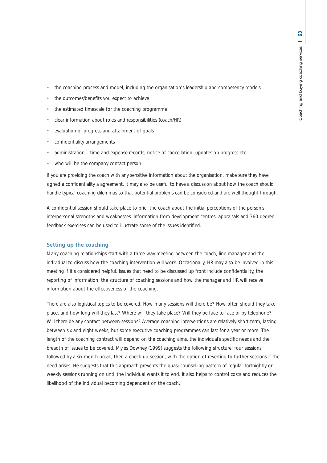- the coaching process and model, including the organisation's leadership and competency models
- the outcomes/benefits you expect to achieve
- the estimated timescale for the coaching programme
- clear information about roles and responsibilities (coach/HR)
- evaluation of progress and attainment of goals
- confidentiality arrangements
- administration time and expense records, notice of cancellation, updates on progress etc
- who will be the company contact person.

If you are providing the coach with any sensitive information about the organisation, make sure they have signed a confidentiality a agreement. It may also be useful to have a discussion about how the coach should handle typical coaching dilemmas so that potential problems can be considered and are well thought through.

A confidential session should take place to brief the coach about the initial perceptions of the person's interpersonal strengths and weaknesses. Information from development centres, appraisals and 360-degree feedback exercises can be used to illustrate some of the issues identified.

## **Setting up the coaching**

Many coaching relationships start with a three-way meeting between the coach, line manager and the individual to discuss how the coaching intervention will work. Occasionally, HR may also be involved in this meeting if it's considered helpful. Issues that need to be discussed up front include confidentiality, the reporting of information, the structure of coaching sessions and how the manager and HR will receive information about the effectiveness of the coaching.

There are also logistical topics to be covered. How many sessions will there be? How often should they take place, and how long will they last? Where will they take place? Will they be face to face or by telephone? Will there be any contact between sessions? Average coaching interventions are relatively short-term, lasting between six and eight weeks, but some executive coaching programmes can last for a year or more. The length of the coaching contract will depend on the coaching aims, the individual's specific needs and the breadth of issues to be covered. Myles Downey (1999) suggests the following structure: four sessions, followed by a six-month break, then a check-up session, with the option of reverting to further sessions if the need arises. He suggests that this approach prevents the quasi-counselling pattern of regular fortnightly or weekly sessions running on until the individual wants it to end. It also helps to control costs and reduces the likelihood of the individual becoming dependent on the coach.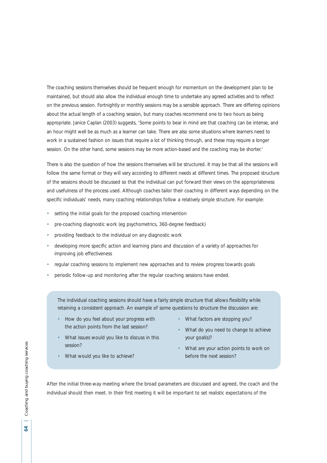The coaching sessions themselves should be frequent enough for momentum on the development plan to be maintained, but should also allow the individual enough time to undertake any agreed activities and to reflect on the previous session. Fortnightly or monthly sessions may be a sensible approach. There are differing opinions about the actual length of a coaching session, but many coaches recommend one to two hours as being appropriate. Janice Caplan (2003) suggests, 'Some points to bear in mind are that coaching can be intense, and an hour might well be as much as a learner can take. There are also some situations where learners need to work in a sustained fashion on issues that require a lot of thinking through, and these may require a longer session. On the other hand, some sessions may be more action-based and the coaching may be shorter.'

There is also the question of how the sessions themselves will be structured. It may be that all the sessions will follow the same format or they will vary according to different needs at different times. The proposed structure of the sessions should be discussed so that the individual can put forward their views on the appropriateness and usefulness of the process used. Although coaches tailor their coaching in different ways depending on the specific individuals' needs, many coaching relationships follow a relatively simple structure. For example:

- setting the initial goals for the proposed coaching intervention
- pre-coaching diagnostic work (eg psychometrics, 360-degree feedback)
- providing feedback to the individual on any diagnostic work
- developing more specific action and learning plans and discussion of a variety of approaches for improving job effectiveness
- regular coaching sessions to implement new approaches and to review progress towards goals
- periodic follow-up and monitoring after the regular coaching sessions have ended.

The individual coaching sessions should have a fairly simple structure that allows flexibility while retaining a consistent approach. An example of some questions to structure the discussion are:

- How do you feel about your progress with the action points from the last session?
- What issues would you like to discuss in this session?
- What factors are stopping you?
- What do you need to change to achieve your goal(s)?
- What are your action points to work on before the next session?
- What would you like to achieve?

After the initial three-way meeting where the broad parameters are discussed and agreed, the coach and the individual should then meet. In their first meeting it will be important to set realistic expectations of the

 $\tilde{z}$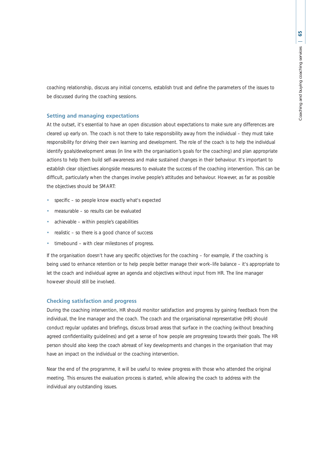coaching relationship, discuss any initial concerns, establish trust and define the parameters of the issues to be discussed during the coaching sessions.

#### **Setting and managing expectations**

At the outset, it's essential to have an open discussion about expectations to make sure any differences are cleared up early on. The coach is not there to take responsibility away from the individual – they must take responsibility for driving their own learning and development. The role of the coach is to help the individual identify goals/development areas (in line with the organisation's goals for the coaching) and plan appropriate actions to help them build self-awareness and make sustained changes in their behaviour. It's important to establish clear objectives alongside measures to evaluate the success of the coaching intervention. This can be difficult, particularly when the changes involve people's attitudes and behaviour. However, as far as possible the objectives should be SMART:

- specific so people know exactly what's expected
- measurable so results can be evaluated
- achievable within people's capabilities
- realistic so there is a good chance of success
- timebound with clear milestones of progress.

If the organisation doesn't have any specific objectives for the coaching – for example, if the coaching is being used to enhance retention or to help people better manage their work–life balance – it's appropriate to let the coach and individual agree an agenda and objectives without input from HR. The line manager however should still be involved.

#### **Checking satisfaction and progress**

During the coaching intervention, HR should monitor satisfaction and progress by gaining feedback from the individual, the line manager and the coach. The coach and the organisational representative (HR) should conduct regular updates and briefings, discuss broad areas that surface in the coaching (without breaching agreed confidentiality guidelines) and get a sense of how people are progressing towards their goals. The HR person should also keep the coach abreast of key developments and changes in the organisation that may have an impact on the individual or the coaching intervention.

Near the end of the programme, it will be useful to review progress with those who attended the original meeting. This ensures the evaluation process is started, while allowing the coach to address with the individual any outstanding issues.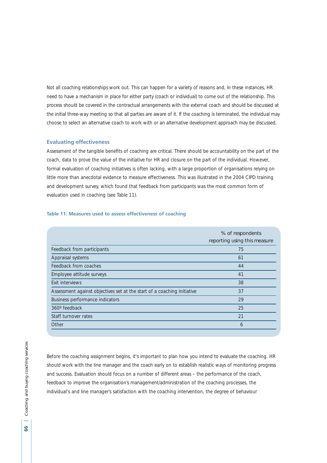Not all coaching relationships work out. This can happen for a variety of reasons and, in these instances, HR need to have a mechanism in place for either party (coach or individual) to come out of the relationship. This process should be covered in the contractual arrangements with the external coach and should be discussed at the initial three-way meeting so that all parties are aware of it. If the coaching is terminated, the individual may choose to select an alternative coach to work with or an alternative development approach may be discussed.

# **Evaluating effectiveness**

Assessment of the tangible benefits of coaching are critical. There should be accountability on the part of the coach, data to prove the value of the initiative for HR and closure on the part of the individual. However, formal evaluation of coaching initiatives is often lacking, with a large proportion of organisations relying on little more than anecdotal evidence to measure effectiveness. This was illustrated in the 2004 CIPD training and development survey, which found that feedback from participants was the most common form of evaluation used in coaching (see Table 11).

#### **Table 11: Measures used to assess effectiveness of coaching**

|                                                                         | % of respondents<br>reporting using this measure |
|-------------------------------------------------------------------------|--------------------------------------------------|
| Feedback from participants                                              | 75                                               |
| Appraisal systems                                                       | 61                                               |
| Feedback from coaches                                                   | 44                                               |
| Employee attitude surveys                                               | 41                                               |
| Exit interviews                                                         | 38                                               |
| Assessment against objectives set at the start of a coaching initiative | 37                                               |
| Business performance indicators                                         | 29                                               |
| 360° feedback                                                           | 25                                               |
| Staff turnover rates                                                    | 21                                               |
| Other                                                                   | 6                                                |

Before the coaching assignment begins, it's important to plan how you intend to evaluate the coaching. HR should work with the line manager and the coach early on to establish realistic ways of monitoring progress and success. Evaluation should focus on a number of different areas – the performance of the coach, feedback to improve the organisation's management/administration of the coaching processes, the individual's and line manager's satisfaction with the coaching intervention, the degree of behaviour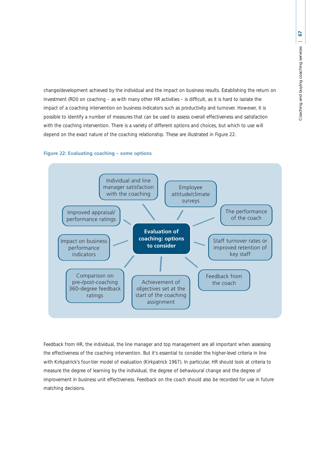change/development achieved by the individual and the impact on business results. Establishing the return on investment (ROI) on coaching – as with many other HR activities – is difficult, as it is hard to isolate the impact of a coaching intervention on business indicators such as productivity and turnover. However, it is possible to identify a number of measures that can be used to assess overall effectiveness and satisfaction with the coaching intervention. There is a variety of different options and choices, but which to use will depend on the exact nature of the coaching relationship. These are illustrated in Figure 22.

# **Figure 22: Evaluating coaching – some options**



Feedback from HR, the individual, the line manager and top management are all important when assessing the effectiveness of the coaching intervention. But it's essential to consider the higher-level criteria in line with Kirkpatrick's four-tier model of evaluation (Kirkpatrick 1967). In particular, HR should look at criteria to measure the degree of learning by the individual, the degree of behavioural change and the degree of improvement in business unit effectiveness. Feedback on the coach should also be recorded for use in future matching decisions.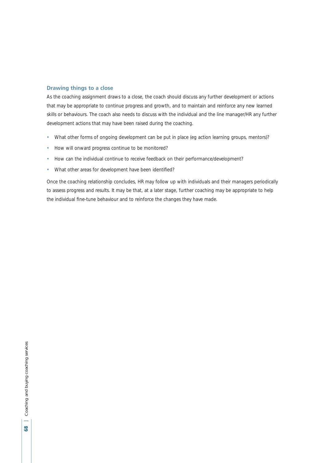# **Drawing things to a close**

As the coaching assignment draws to a close, the coach should discuss any further development or actions that may be appropriate to continue progress and growth, and to maintain and reinforce any new learned skills or behaviours. The coach also needs to discuss with the individual and the line manager/HR any further development actions that may have been raised during the coaching.

- What other forms of ongoing development can be put in place (eg action learning groups, mentors)?
- How will onward progress continue to be monitored?
- How can the individual continue to receive feedback on their performance/development?
- What other areas for development have been identified?

Once the coaching relationship concludes, HR may follow up with individuals and their managers periodically to assess progress and results. It may be that, at a later stage, further coaching may be appropriate to help the individual fine-tune behaviour and to reinforce the changes they have made.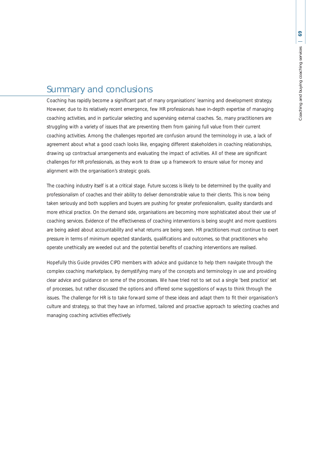# Summary and conclusions

Coaching has rapidly become a significant part of many organisations' learning and development strategy. However, due to its relatively recent emergence, few HR professionals have in-depth expertise of managing coaching activities, and in particular selecting and supervising external coaches. So, many practitioners are struggling with a variety of issues that are preventing them from gaining full value from their current coaching activities. Among the challenges reported are confusion around the terminology in use, a lack of agreement about what a good coach looks like, engaging different stakeholders in coaching relationships, drawing up contractual arrangements and evaluating the impact of activities. All of these are significant challenges for HR professionals, as they work to draw up a framework to ensure value for money and alignment with the organisation's strategic goals.

The coaching industry itself is at a critical stage. Future success is likely to be determined by the quality and professionalism of coaches and their ability to deliver demonstrable value to their clients. This is now being taken seriously and both suppliers and buyers are pushing for greater professionalism, quality standards and more ethical practice. On the demand side, organisations are becoming more sophisticated about their use of coaching services. Evidence of the effectiveness of coaching interventions is being sought and more questions are being asked about accountability and what returns are being seen. HR practitioners must continue to exert pressure in terms of minimum expected standards, qualifications and outcomes, so that practitioners who operate unethically are weeded out and the potential benefits of coaching interventions are realised.

Hopefully this Guide provides CIPD members with advice and guidance to help them navigate through the complex coaching marketplace, by demystifying many of the concepts and terminology in use and providing clear advice and guidance on some of the processes. We have tried not to set out a single 'best practice' set of processes, but rather discussed the options and offered some suggestions of ways to think through the issues. The challenge for HR is to take forward some of these ideas and adapt them to fit their organisation's culture and strategy, so that they have an informed, tailored and proactive approach to selecting coaches and managing coaching activities effectively.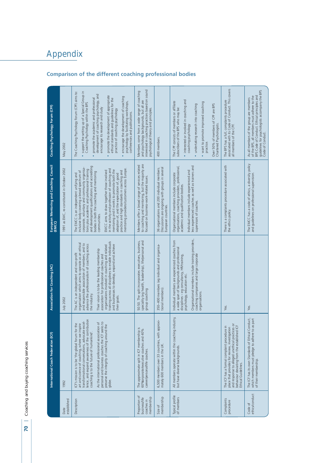# 70 | Coaching and buying coaching services **70** Coaching and buying coaching services

| established<br>Date                                        | International Coach Federation (ICF)<br>1992                                                                                                                                                                                                                                                                 | Association for Coaching (AC)<br>July 2002                                                                                                                                                                                                                                                   | European Mentoring and Coaching Council<br>(EMCC)<br>1991 as EMC, re-constituted in October 2002                                                                                                                                                                                                       | Coaching Psychology Forum (CPF)<br>May 2002                                                                                                                                                                                                                                                                            |
|------------------------------------------------------------|--------------------------------------------------------------------------------------------------------------------------------------------------------------------------------------------------------------------------------------------------------------------------------------------------------------|----------------------------------------------------------------------------------------------------------------------------------------------------------------------------------------------------------------------------------------------------------------------------------------------|--------------------------------------------------------------------------------------------------------------------------------------------------------------------------------------------------------------------------------------------------------------------------------------------------------|------------------------------------------------------------------------------------------------------------------------------------------------------------------------------------------------------------------------------------------------------------------------------------------------------------------------|
| Description                                                | lence, and expand awareness of the contribution<br>transformational conversations, advocate excel-<br>As the international professional association of<br>i for the<br>art and science of coaching, where we inspire<br>coaching is to the future of humankind'.<br>ICF's mission is to be 'the global forum | organisation which aims to operate as an ethical<br>and responsible association of members, and to<br>advance the professionalism of coaching across<br>Their vision is to be the leading membership<br>The AC is an independent and non-profit<br>the industry.                             | and development qualifications and accrediting<br>corporate, voluntary and community organisa-<br>tions plus academic and professional training<br>inclusive body covering a broad spectrum of<br>bodies in both the coaching and mentoring<br>The EMCC is an independent unifying and<br>communities. | support the setting up of a Special Group in<br>The Coaching Psychology Forum (CPF) aims to:<br>development of coaching psychology, and<br>promote the academic and professional<br>Coaching Psychology within the BPS<br>encourage its research and study                                                             |
|                                                            | personal and business coaches the ICF seeks to<br>preserve the integrity of coaching around the<br>globe.                                                                                                                                                                                                    | training across all disciplines to enable individuals<br>and businesses to develop, expand and achieve<br>organisations involved in coaching and related<br>association for professional coaches and<br>their goals.                                                                         | EMCC aims to draw together those involved<br>in the activity and profession of coaching and<br>mentoring providers/customers across Europe.<br>mentoring and it works to promote both the<br>practice and high standards in coaching and<br>adoption of, and the expectation of, good                  | promote the development of appropriate<br>encourage the development of coaching<br>ethical standards and guidelines for the<br>psychology by facilitating workshops,<br>practice of coaching psychology<br>conferences and publications.                                                                               |
| Proportion of<br>membership<br>business/life<br>coaches in | The approximate split in ICF membership is<br>60%orporate/executive coaches and 40%<br>career/personal/life coaches.                                                                                                                                                                                         | speciality (eg health, leadership), life/personal and<br>50:50. The split incorporates executives, business,<br>group coaching                                                                                                                                                               | to coaching and mentoring, but the majority are<br>focused on business-work-related issues.<br>Members offer a broad range of services related                                                                                                                                                         | interested in coaching practices based on sound<br>Members come from a wide range of coaching<br>and psychology backgrounds, but all are<br>psychological theory and principles.                                                                                                                                       |
| membership                                                 | 6,500 members over 33 countries, with approxi-<br>mately 600 members in the UK.                                                                                                                                                                                                                              | 350-400 members (eg individual and organisa-<br>tional members).                                                                                                                                                                                                                             | 36 organisations and 200 individual members.<br>Discussions are ongoing with groups in several<br>European countries.                                                                                                                                                                                  | 400 members.                                                                                                                                                                                                                                                                                                           |
| Typical profile<br>of members                              | ing industry,<br>All members operate within the coach<br>but have diverse backgrounds.                                                                                                                                                                                                                       | Organisational members include training providers,<br>Individual members are experienced coaches from<br>a wide span of backgrounds and professional<br>coaching companies and large corporate<br>disciplines - eg consultancy, HR/training,<br>psychology, education etc.<br>organisations. | less experienced coaches as well as trainers and<br>Organisational members include corporate<br>organisations, coaching providers, professional,<br>Individual members include experienced and<br>academic and qualification bodies.<br>supervisors of coaches.                                        | interested or involved in coaching and<br>The CPF consists of members or affiliate<br>want to promote improved coaching<br>undertaking research into coaching<br>Over 50% of members of CPF are BPS<br>subscribers of the BPS who may be:<br>Chartered Psychologists.<br>coaching psychology<br>practice.<br>$\bullet$ |
| Complaints<br>procedure                                    | and response to alleged unethical practices or<br>behaviour deviating from the established ICF<br>Ethical Guidelines.<br>The ICF has a formal complaint procedure in<br>place that provides for review, investigation                                                                                        | Yes.                                                                                                                                                                                                                                                                                         | There is a complaints procedure associated with<br>the ethics policy.                                                                                                                                                                                                                                  | The BPS has a full, complaints procedure<br>associated with its Code of Conduct. This covers<br>all members of the CPF.                                                                                                                                                                                                |
| ethics/conduct<br>Code of                                  | The ICF has its own Standards of Ethical Conduct,<br>which members must pledge to adhere to as part<br>of their membership.                                                                                                                                                                                  | Yes.                                                                                                                                                                                                                                                                                         | The EMCC has a code of ethics, a diversity policy<br>and guidelines on professional supervision.                                                                                                                                                                                                       | guidelines for psychologists accompany the BPS<br>BPS Code of Conduct. Ethical principles and<br>of the BPS, all members must adhere to the<br>As all members of the group are members<br>Code of Conduct.                                                                                                             |

# **Comparison of the different coaching professional bodies**

Appendix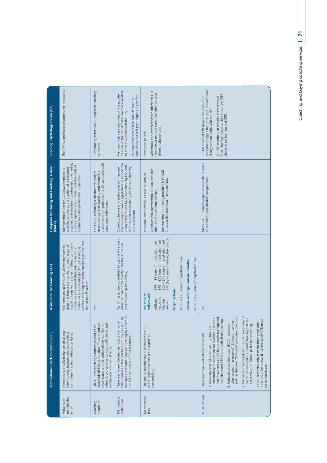| Coaching Psychology Forum (CPF)                |                                                                                                                                                                                                                                                                                                      |                                                                                                                                                                                                       |                                                                                                                                                                         |                                                                                                                                                                                                                              |                                                                                                                                                                                                                                                                                        |
|------------------------------------------------|------------------------------------------------------------------------------------------------------------------------------------------------------------------------------------------------------------------------------------------------------------------------------------------------------|-------------------------------------------------------------------------------------------------------------------------------------------------------------------------------------------------------|-------------------------------------------------------------------------------------------------------------------------------------------------------------------------|------------------------------------------------------------------------------------------------------------------------------------------------------------------------------------------------------------------------------|----------------------------------------------------------------------------------------------------------------------------------------------------------------------------------------------------------------------------------------------------------------------------------------|
|                                                | The CPF is a professional community of practice.                                                                                                                                                                                                                                                     |                                                                                                                                                                                                       | Contributing to the EMCC project on coaching<br>standards.                                                                                                              | member of the BPS. Affiliate members must be<br>Members must be a minimum of a graduate<br>workshops, but will pay a slightly higher fee.<br>Non-members can still attend CPF events/<br>an affiliate subscriber of the BPS. | Workshops and conferences are offered to CPF<br>members at reduced rates. Members are also<br>offered reduced rates.<br>Membership: Free                                                                                                                                               |
| <b>European Mentoring and Coaching Council</b> |                                                                                                                                                                                                                                                                                                      |                                                                                                                                                                                                       |                                                                                                                                                                         |                                                                                                                                                                                                                              |                                                                                                                                                                                                                                                                                        |
|                                                | coaching and mentoring profession, governed by<br>a widely agreed code of ethics and standards of<br>contribute towards the creation of a European<br>Membership of the EMCC allows members to<br>competence and professional supervision.                                                           |                                                                                                                                                                                                       | standards of competencies for all typologies with<br>to produce agreed coaching and mentoring<br>The EMCC is leading a collaborative project<br>associated definitions. | ship as long as there is agreement to support the<br>vision and aims of EMCC and abide by the code<br>of ethics and associated guidelines on diversity<br>Currently there are no restrictions on member-<br>and supervision. | Organisational membership is £300 (includes<br>Membership for training providers is £1,000<br>Individual membership is £100 per annum.<br>(includes five individual memberships)<br>three individual memberships)                                                                      |
| (EMCC)                                         |                                                                                                                                                                                                                                                                                                      |                                                                                                                                                                                                       |                                                                                                                                                                         |                                                                                                                                                                                                                              |                                                                                                                                                                                                                                                                                        |
| Association for Coaching (AC)                  | process, including reference checking and verifica-<br>coaching body with a code of ethics, complaints<br>Full membership of the AC allows members to<br>state that they are a member of a professional<br>a member all applicants go through a vetting<br>procedure and agreed standards. To become |                                                                                                                                                                                                       |                                                                                                                                                                         | Yes. Affiliates are not entitled to use the AC's mark,<br>letters by their name or entry into the AC online                                                                                                                  | $£55 + £15$ (one-off registration fee)<br>$£75$ (by invitation only by the council)<br>£45 + £10 (one-off registration fee)<br>£25 + £5 (one-off registration fee)<br>$£150 + £25$ (one-off registration fee)<br>£170 + £25 (one-off registration fee)<br>Combined organisation/member |
|                                                | tion of qualifications.                                                                                                                                                                                                                                                                              | Yes.                                                                                                                                                                                                  |                                                                                                                                                                         | directory (see grades below).                                                                                                                                                                                                | Organisations<br>Per annum:<br>Individuals<br>Associate<br>Member<br>Affiliate<br>Fellow                                                                                                                                                                                               |
| International Coach Federation (ICF)           | Membership entails being part of a large,<br>international, independent body with a<br>commitment to high, ethical standards.                                                                                                                                                                        | Standards of Ethical Conduct. These standards<br>interest, professional conduct with clients and<br>cover issues around confidentiality, conflict of<br>The ICF has coaching standards as part of its | professional conduct at large.                                                                                                                                          | who operates in the coaching industry can join. By<br>becoming a member you are agreeing to adhere to<br>There are no membership restrictions - anyone<br>the ICF's Standards of Ethical Conduct.                            | The annual membership subscription is £105<br>(GBP). Additional fees are charged for<br>credentialing.                                                                                                                                                                                 |
|                                                | membership<br>What does<br>entail                                                                                                                                                                                                                                                                    | Coaching<br>standards                                                                                                                                                                                 |                                                                                                                                                                         | Membership<br>restrictions                                                                                                                                                                                                   | Membership<br>fees                                                                                                                                                                                                                                                                     |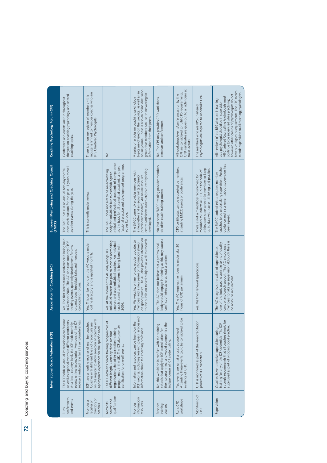|                                                      | International Coach Federation (ICF)                                                                                                                                                                                                                                 | Association for Coaching (AC)                                                                                                                                                                                                        | European Mentoring and Coaching Council<br>(EMCC)                                                                                                                                                                                                                      | Coaching Psychology Forum (CPF)                                                                                                                                                                                                                                                                                                                  |
|------------------------------------------------------|----------------------------------------------------------------------------------------------------------------------------------------------------------------------------------------------------------------------------------------------------------------------|--------------------------------------------------------------------------------------------------------------------------------------------------------------------------------------------------------------------------------------|------------------------------------------------------------------------------------------------------------------------------------------------------------------------------------------------------------------------------------------------------------------------|--------------------------------------------------------------------------------------------------------------------------------------------------------------------------------------------------------------------------------------------------------------------------------------------------------------------------------------------------|
| conferences<br>and events<br><b>Runs</b>             | The ICF holds an annual international conference<br>receive a reduced rate for all events/conferences.<br>as well as regional events in different continents.<br>events on key issues/topics. Members of the ICF<br>At a local, country level, the ICF holds monthly | Yes. The first international conference is being held<br>in October 2004. The AC also runs monthly CPD/<br>training events, quarterly development forums,<br>organisational breakfast talks and members'<br>co-coaching forums.      | ence each autumn for the past 11 years as well<br>The EMCC has run an annual two-day confer-<br>as other events during the year.                                                                                                                                       | the year on coaching psychology and related<br>Conference and events are run throughout<br>coaching topics.                                                                                                                                                                                                                                      |
| directory of<br>Provides a<br>register or<br>coaches | on the register to allow selection of coaches with<br>ICF have an online register of member coaches.<br>Coaches with different levels of credentials are<br>appropriate experience for the specific need.                                                            | Yes. This can be found on the AC website under<br>online directory' and is updated monthly                                                                                                                                           | This is currently under review.                                                                                                                                                                                                                                        | register is limited to member coaches who are<br>There is an online register of members - this<br>BPS Chartered Psychologists.                                                                                                                                                                                                                   |
| qualifications<br>course and<br>Accredits            | The ICF accredits coach training programmes of<br>programmes in the UK. The ICF also provides<br>organisations that offer accredited training<br>different length. Currently there are four<br>certification for one-off events.                                     | individual trainers but plan to move to accrediting<br>courses and also individual coaches. An individual<br>coach accreditation scheme is being launched in<br>Yes. At the moment the AC only recognises<br>2004.                   | ethical and professional standards of competence<br>fessional practice and development programmes<br>as the basis for all accredited academic and pro-<br>The EMCC does not aim to be an accrediting<br>body for individuals but to establish agreed<br>across Europe. | δ.                                                                                                                                                                                                                                                                                                                                               |
| information/<br>resources<br>Provides                | ICF website, including research papers, articles and<br>Information and resources can be found on the<br>information about the coaching profession.                                                                                                                  | on good practice. The AC also provides information<br>to the public on topical subjects as well as research.<br>Yes. Via website, online forum, regular updates to<br>members and a new series of information sheets                 | centre (articles/research etc) is currently being<br>The EMCC currently provides members with<br>practitioner research). An online resource<br>a newsletter and an e-journal (academic/<br>developed.                                                                  | online journal. There is also an online discussion<br>topics are offered on the website, as well as an<br>group that members can use to network/gain<br>A series of articles on coaching psychology<br>information from their peers.                                                                                                             |
| Provides<br>training<br>courses                      | their programmes, and would compromise the<br>No, this would be in conflict with the training<br>schools that apply for ICF accreditation for<br>independence of ICF credentialing.                                                                                  | body should engage in training as this may cause a<br>No. The AC does not believe that a professional<br>conflict of interests or at least a tension.                                                                                | No, but some EMCC training provider members<br>do offer coach training courses.                                                                                                                                                                                        | No. The CPF only provides CPD workshops,<br>seminars and conferences                                                                                                                                                                                                                                                                             |
| workshops<br>Runs <sub>CPD</sub>                     | Attending these events could be considered to be<br>Yes, events are run at a local, country level.<br>evidence of CPD                                                                                                                                                | Yes. The AC requires members to undertake 30<br>hours of CPD per annum.                                                                                                                                                              | CPD certificates can be requested by members<br>attending EMCC events or conferences.                                                                                                                                                                                  | CPD certificates are given out to all attendees at<br>CPF are considered to fulfil CPD requirements.<br>All workshops/events/conferences run by the<br>these events.                                                                                                                                                                             |
| Monitoring of<br>CPD                                 | CPD is monitored as part of the re-accreditation<br>process of ICF credentials.                                                                                                                                                                                      | Yes. Via their renewal applications.                                                                                                                                                                                                 | ethics does state a need for members to keep<br>up to date with current thinking and practice.<br>members to undertake CPD, but the code of<br>There is not a mandatory requirement for                                                                                | Psychologists are required to undertake CPD.<br>The members who are BPS Chartered                                                                                                                                                                                                                                                                |
| Supervision                                          | strongly recommends that all coaches should be<br>training for any of the ICF credentials. The ICF<br>supervised as part of ongoing good practice.<br>Coaches have to receive supervision during                                                                     | members to take up supervision although there is<br>one of the tools used to assist in terms of quality<br>control and coach support. The AC encourages<br>The AC recognises the value of supervision as<br>no absolute requirement. | guidance and a statement about supervision has<br>coaches to be undertaking supervision. Further<br>The EMCC code of ethics requires member<br>been agreed.                                                                                                            | have such rigorous requirements. The CPF recom-<br>mends supervision to all coaching psychologists.<br>however, other groups of psychologists do not<br>All Chartered Counselling Psychologists must<br>All members of the BPS who are in training<br>continue to be supervised while practising;<br>as a psychologist should be in supervision. |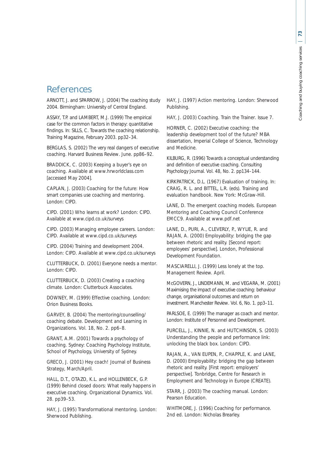# **References**

ARNOTT, J. and SPARROW, J. (2004) The coaching study 2004. Birmingham: University of Central England.

ASSAY, T.P. and LAMBERT, M.J. (1999) The empirical case for the common factors in therapy: quantitative findings. In: SILLS, C. Towards the coaching relationship. *Training Magazine*, February 2003. pp32–34.

BERGLAS, S. (2002) The very real dangers of executive coaching. *Harvard Business Review*. June. pp86–92.

BRADDICK, C. (2003) *Keeping a buyer's eye on coaching*. Available at www.hrworldclass.com [accessed May 2004].

CAPLAN, J. (2003) *Coaching for the future: How smart companies use coaching and mentoring.* London: CIPD.

CIPD. (2001) *Who learns at work?* London: CIPD. Available at www.cipd.co.uk/surveys

CIPD. (2003) *Managing employee careers*. London: CIPD. Available at www.cipd.co.uk/surveys

CIPD. (2004) *Training and development 2004*. London: CIPD. Available at www.cipd.co.uk/surveys

CLUTTERBUCK, D. (2001) *Everyone needs a mentor*. London: CIPD.

CLUTTERBUCK, D. (2003) *Creating a coaching climate*. London: Clutterbuck Associates.

DOWNEY, M. (1999) *Effective coaching*. London: Orion Business Books.

GARVEY, B. (2004) The mentoring/counselling/ coaching debate. *Development and Learning in Organizations*. Vol. 18, No. 2. pp6–8.

GRANT, A.M. (2001) *Towards a psychology of coaching*. Sydney: Coaching Psychology Institute, School of Psychology, University of Sydney.

GRECO, J. (2001) Hey coach! *Journal of Business Strategy*, March/April.

HALL, D.T., OTAZO, K.L. and HOLLENBECK, G.P. (1999) Behind closed doors: What really happens in executive coaching. *Organizational Dynamics*. Vol. 28. pp39–53.

HAY, J. (1995) *Transformational mentoring*. London: Sherwood Publishing.

HAY, J. (1997) *Action mentoring*. London: Sherwood Publishing.

HAY, J. (2003) Coaching. *Train the Trainer*. Issue 7.

HORNER, C. (2002) *Executive coaching: the leadership development tool of the future?* MBA dissertation, Imperial College of Science, Technology and Medicine.

KILBURG, R. (1996) Towards a conceptual understanding and definition of executive coaching. *Consulting Psychology Journal*. Vol. 48, No. 2. pp134–144.

KIRKPATRICK, D.L. (1967) Evaluation of training. In: CRAIG, R. L. and BITTEL, L.R. (eds). *Training and evaluation handbook*. New York: McGraw-Hill.

LANE, D. *The emergent coaching models.* European Mentoring and Coaching Council Conference EMCC9. Available at www.pdf.net

LANE, D., PURI, A., CLEVERLY, P., WYLIE, R. and RAJAN, A. (2000) *Employability: bridging the gap between rhetoric and reality.* [Second report: *employees' perspective*]. London, Professional Development Foundation.

MASCIARELLI, J. (1999) Less lonely at the top. *Management Review.* April.

McGOVERN, J., LINDEMANN, M. and VEGARA, M. (2001) Maximising the impact of executive coaching: behaviour change, organisational outcomes and return on investment. *Manchester Review*. Vol. 6, No. 1. pp3–11.

PARLSOE, E. (1999) *The manager as coach and mentor*. London: Institute of Personnel and Development.

PURCELL, J., KINNIE, N. and HUTCHINSON, S. (2003) *Understanding the people and performance link: unlocking the black box.* London: CIPD.

RAJAN, A., VAN EUPEN, P., CHAPPLE, K. and LANE, D. (2000) *Employability: bridging the gap between rhetoric and reality.* [First report: *employers' perspective*]. Tonbridge, Centre for Research in Employment and Technology in Europe (CREATE).

STARR, J. (2003) *The coaching manual*. London: Pearson Education.

WHITMORE, J. (1996) *Coaching for performance*. 2nd ed. London: Nicholas Brearley.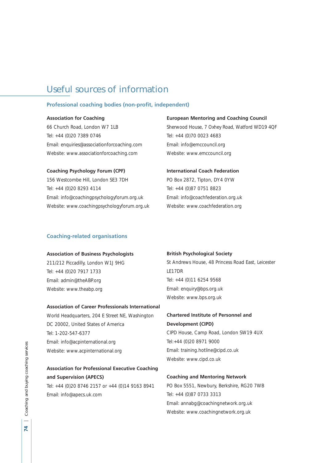# Useful sources of information

## **Professional coaching bodies (non-profit, independent)**

### **Association for Coaching**

66 Church Road, London W7 1LB Tel: +44 (0)20 7389 0746 Email: enquiries@associationforcoaching.com Website: www.associationforcoaching.com

# **Coaching Psychology Forum (CPF)**

156 Westcombe Hill, London SE3 7DH Tel: +44 (0)20 8293 4114 Email: info@coachingpsychologyforum.org.uk Website: www.coachingpsychologyforum.org.uk

#### **European Mentoring and Coaching Council**

Sherwood House, 7 Oxhey Road, Watford WD19 4QF Tel: +44 (0)70 0023 4683 Email: info@emccouncil.org Website: www.emccouncil.org

#### **International Coach Federation**

PO Box 2872, Tipton, DY4 0YW Tel: +44 (0)87 0751 8823 Email: info@coachfederation.org.uk Website: www.coachfederation.org

# **Coaching-related organisations**

# **Association of Business Psychologists**

211/212 Piccadilly, London W1J 9HG Tel: +44 (0)20 7917 1733 Email: admin@theABP.org Website: www.theabp.org

#### **Association of Career Professionals International**

World Headquarters, 204 E Street NE, Washington DC 20002, United States of America Tel: 1-202-547-6377 Email: info@acpinternational.org Website: www.acpinternational.org

# **Association for Professional Executive Coaching and Supervision (APECS)**

Tel: +44 (0)20 8746 2157 or +44 (0)14 9163 8941 Email: info@apecs.uk.com

#### **British Psychological Society**

St Andrews House, 48 Princess Road East, Leicester LE17DR Tel: +44 (0)11 6254 9568 Email: enquiry@bps.org.uk Website: www.bps.org.uk

# **Chartered Institute of Personnel and Development (CIPD)**

CIPD House, Camp Road, London SW19 4UX Tel:+44 (0)20 8971 9000 Email: training.hotline@cipd.co.uk Website: www.cipd.co.uk

# **Coaching and Mentoring Network**

PO Box 5551, Newbury, Berkshire, RG20 7WB Tel: +44 (0)87 0733 3313 Email: annabg@coachingnetwork.org.uk Website: www.coachingnetwork.org.uk

 $\overline{z}$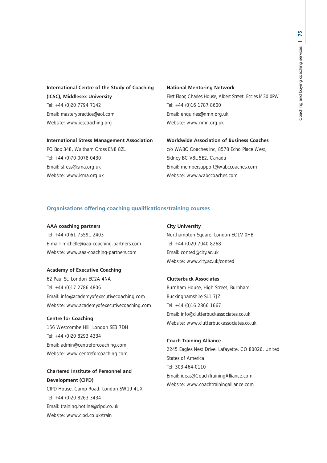# **International Centre of the Study of Coaching (ICSC), Middlesex University** Tel: +44 (0)20 7794 7142 Email: masterypractice@aol.com

## **International Stress Management Association**

PO Box 348, Waltham Cross EN8 8ZL Tel: +44 (0)70 0078 0430 Email: stress@isma.org.uk Website: www.isma.org.uk

Website: www.icscoaching.org

# **National Mentoring Network**

First Floor, Charles House, Albert Street, Eccles M30 0PW Tel: +44 (0)16 1787 8600 Email: enquiries@nmn.org.uk Website: www.nmn.org.uk

#### **Worldwide Association of Business Coaches**

c/o WABC Coaches Inc, 8578 Echo Place West, Sidney BC V8L 5E2, Canada Email: membersupport@wabccoaches.com Website: www.wabccoaches.com

# **Organisations offering coaching qualifications/training courses**

#### **AAA coaching partners**

Tel: +44 (0)61 75591 2403 E-mail: michelle@aaa-coaching-partners.com Website: www.aaa-coaching-partners.com

#### **Academy of Executive Coaching**

62 Paul St, London EC2A 4NA Tel: +44 (0)17 2786 4806 Email: info@academyofexecutivecoaching.com Website: www.academyofexecutivecoaching.com

#### **Centre for Coaching**

156 Westcombe Hill, London SE3 7DH Tel: +44 (0)20 8293 4334 Email: admin@centreforcoaching.com Website: www.centreforcoaching.com

# **Chartered Institute of Personnel and Development (CIPD)**

CIPD House, Camp Road, London SW19 4UX Tel: +44 (0)20 8263 3434 Email: training.hotline@cipd.co.uk Website: www.cipd.co.uk/train

#### **City University**

Northampton Square, London EC1V 0HB Tel: +44 (0)20 7040 8268 Email: conted@city.ac.uk Website: www.city.ac.uk/conted

#### **Clutterbuck Associates**

Burnham House, High Street, Burnham, Buckinghamshire SL1 7JZ Tel: +44 (0)16 2866 1667 Email: info@clutterbuckassociates.co.uk Website: www.clutterbuckassociates.co.uk

# **Coach Training Alliance**

2245 Eagles Nest Drive, Lafayette, CO 80026, United States of America Tel: 303-464-0110 Email: ideas@CoachTrainingAlliance.com Website: www.coachtrainingalliance.com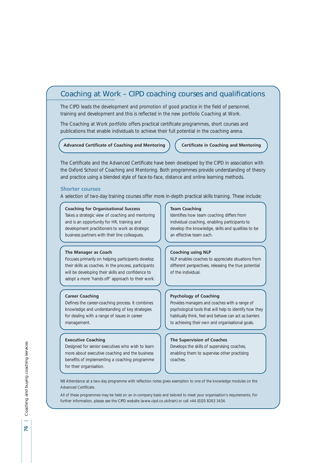# Coaching at Work – CIPD coaching courses and qualifications

The CIPD leads the development and promotion of good practice in the field of personnel, training and development and this is reflected in the new portfolio Coaching at Work.

The Coaching at Work portfolio offers practical certificate programmes, short courses and publications that enable individuals to achieve their full potential in the coaching arena.

#### **Advanced Certificate of Coaching and Mentoring Certificate in Coaching and Mentoring**

The Certificate and the Advanced Certificate have been developed by the CIPD in association with the Oxford School of Coaching and Mentoring. Both programmes provide understanding of theory and practice using a blended style of face-to-face, distance and online learning methods.

#### **Shorter courses**

A selection of two-day training courses offer more in-depth practical skills training. These include:

#### **Coaching for Organisational Success**

Takes a strategic view of coaching and mentoring and is an opportunity for HR, training and development practitioners to work as strategic business partners with their line colleagues.

#### **The Manager as Coach**

Focuses primarily on helping participants develop their skills as coaches. In the process, participants will be developing their skills and confidence to adopt a more 'hands off' approach to their work.

#### **Career Coaching**

Defines the career-coaching process. It combines knowledge and understanding of key strategies for dealing with a range of issues in career management.

#### **Executive Coaching**

Designed for senior executives who wish to learn more about executive coaching and the business benefits of implementing a coaching programme for their organisation.

#### **Team Coaching**

Identifies how team coaching differs from individual coaching, enabling participants to develop the knowledge, skills and qualities to be an effective team oach.

#### **Coaching using NLP**

NLP enables coaches to appreciate situations from different perspectives, releasing the true potential of the individual.

#### **Psychology of Coaching**

Provides managers and coaches with a range of psychological tools that will help to identify how they habitually think, feel and behave can act as barriers to achieving their own and organisational goals.

#### **The Supervision of Coaches**

Develops the skills of supervising coaches, enabling them to supervise other practising coaches.

NB Attendance at a two-day programme with reflection notes gives exemption to one of the knowledge modules on the Advanced Certificate.

All of these programmes may be held on an in-company basis and tailored to meet your organisation's requirements. For further information, please see the CIPD website (www.cipd.co.uk/train) or call +44 (0)20 8263 3434.

 $\overline{2}$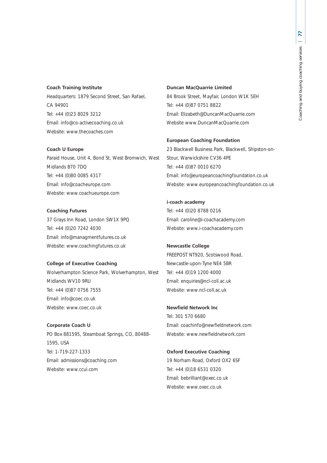# **Coach Training Institute**

Headquarters: 1879 Second Street, San Rafael, CA 94901 Tel: +44 (0)23 8029 3212 Email: info@co-activecoaching.co.uk Website: www.thecoaches.com

#### **Coach U Europe**

Paraid House, Unit 4, Bond St, West Bromwich, West Midlands B70 7DQ Tel: +44 (0)80 0085 4317 Email: info@coacheurope.com Website: www.coachueurope.com

# **Coaching Futures**

37 Grays Inn Road, London SW1X 9PQ Tel: +44 (0)20 7242 4030 Email: info@managmentfutures.co.uk Website: www.coachingfutures.co.uk

# **College of Executive Coaching**

Wolverhampton Science Park, Wolverhampton, West Midlands WV10 9RU Tel: +44 (0)87 0756 7555 Email: info@coec.co.uk Website: www.coec.co.uk

# **Corporate Coach U**

PO Box 881595, Steamboat Springs, CO, 80488- 1595, USA Tel: 1-719-227-1333 Email: admissions@coaching.com Website: www.ccui.com

#### **Duncan MacQuarrie Limited**

84 Brook Street, Mayfair, London W1K 5EH Tel: +44 (0)87 0751 8822 Email: Elizabeth@DuncanMacQuarrie.com Website www.DuncanMacQuarrie.com

#### **European Coaching Foundation**

23 Blackwell Business Park, Blackwell, Shipston-on-Stour, Warwickshire CV36 4PE Tel: +44 (0)87 0010 6270 Email: info@europeancoachingfoundation.co.uk Website: www.europeancoachingfoundation.co.uk

# **i-coach academy**

Tel: +44 (0)20 8788 0216 Email: caroline@i-coachacademy.com Website: www.i-coachacademy.com

# **Newcastle College**

FREEPOST NT920, Scotswood Road, Newcastle-upon-Tyne NE4 5BR Tel: +44 (0)19 1200 4000 Email: enquiries@ncl-coll.ac.uk Website: www.ncl-coll.ac.uk

# **Newfield Network Inc**

Tel: 301 570 6680 Email: coachinfo@newfieldnetwork.com Website: www.newfieldnetwork.com

# **Oxford Executive Coaching**

19 Norham Road, Oxford OX2 6SF Tel: +44 (0)18 6531 0320 Email: bebrilliant@oxec.co.uk Website: www.oxec.co.uk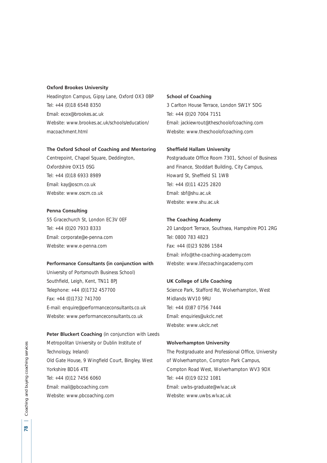# **Oxford Brookes University**

Headington Campus, Gipsy Lane, Oxford OX3 0BP Tel: +44 (0)18 6548 8350 Email: ecox@brookes.ac.uk Website: www.brookes.ac.uk/schools/education/ macoachment.html

#### **The Oxford School of Coaching and Mentoring**

Centrepoint, Chapel Square, Deddington, Oxfordshire OX15 0SG Tel: +44 (0)18 6933 8989 Email: kay@oscm.co.uk Website: www.oscm.co.uk

#### **Penna Consulting**

55 Gracechurch St, London EC3V 0EF Tel: +44 (0)20 7933 8333 Email: corporate@e-penna.com Website: www.e-penna.com

#### **Performance Consultants (in conjunction with**

University of Portsmouth Business School) Southfield, Leigh, Kent, TN11 8PJ Telephone: +44 (0)1732 457700 Fax: +44 (0)1732 741700 E-mail: enquire@performanceconsultants.co.uk Website: www.performanceconsultants.co.uk

**Peter Bluckert Coaching** (in conjunction with Leeds Metropolitan University or Dublin Institute of Technology, Ireland) Old Gate House, 9 Wingfield Court, Bingley, West Yorkshire BD16 4TE Tel: +44 (0)12 7456 6060 Email: mail@pbcoaching.com Website: www.pbcoaching.com

#### **School of Coaching**

3 Carlton House Terrace, London SW1Y 5DG Tel: +44 (0)20 7004 7151 Email: jackiewrout@theschoolofcoaching.com Website: www.theschoolofcoaching.com

#### **Sheffield Hallam University**

Postgraduate Office Room 7301, School of Business and Finance, Stoddart Building, City Campus, Howard St, Sheffield S1 1WB Tel: +44 (0)11 4225 2820 Email: sbf@shu.ac.uk Website: www.shu.ac.uk

# **The Coaching Academy**

20 Landport Terrace, Southsea, Hampshire PO1 2RG Tel: 0800 783 4823 Fax: +44 (0)23 9286 1584 Email: info@the-coaching-academy.com Website: www.lifecoachingacademy.com

# **UK College of Life Coaching**

Science Park, Stafford Rd, Wolverhampton, West Midlands WV10 9RU Tel: +44 (0)87 0756 7444 Email: enquiries@ukclc.net Website: www.ukclc.net

#### **Wolverhampton University**

The Postgraduate and Professional Office, University of Wolverhampton, Compton Park Campus, Compton Road West, Wolverhampton WV3 9DX Tel: +44 (0)19 0232 1081 Email: uwbs-graduate@wlv.ac.uk Website: www.uwbs.wly.ac.uk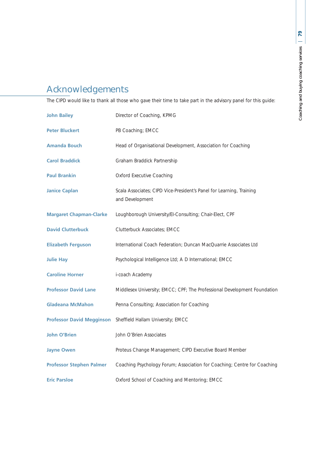# Acknowledgements

The CIPD would like to thank all those who gave their time to take part in the advisory panel for this guide:

| <b>John Bailey</b>              | Director of Coaching, KPMG                                                              |
|---------------------------------|-----------------------------------------------------------------------------------------|
| <b>Peter Bluckert</b>           | PB Coaching; EMCC                                                                       |
| <b>Amanda Bouch</b>             | Head of Organisational Development, Association for Coaching                            |
| <b>Carol Braddick</b>           | Graham Braddick Partnership                                                             |
| <b>Paul Brankin</b>             | <b>Oxford Executive Coaching</b>                                                        |
| <b>Janice Caplan</b>            | Scala Associates; CIPD Vice-President's Panel for Learning, Training<br>and Development |
| <b>Margaret Chapman-Clarke</b>  | Loughborough University/EI-Consulting; Chair-Elect, CPF                                 |
| <b>David Clutterbuck</b>        | Clutterbuck Associates; EMCC                                                            |
| <b>Elizabeth Ferguson</b>       | International Coach Federation; Duncan MacQuarrie Associates Ltd                        |
| <b>Julie Hay</b>                | Psychological Intelligence Ltd; A D International; EMCC                                 |
| <b>Caroline Horner</b>          | i-coach Academy                                                                         |
| <b>Professor David Lane</b>     | Middlesex University; EMCC; CPF; The Professional Development Foundation                |
| <b>Gladeana McMahon</b>         | Penna Consulting; Association for Coaching                                              |
|                                 | Professor David Megginson Sheffield Hallam University; EMCC                             |
| <b>John O'Brien</b>             | John O'Brien Associates                                                                 |
| <b>Jayne Owen</b>               | Proteus Change Management; CIPD Executive Board Member                                  |
| <b>Professor Stephen Palmer</b> | Coaching Psychology Forum; Association for Coaching; Centre for Coaching                |
| <b>Eric Parsloe</b>             | Oxford School of Coaching and Mentoring; EMCC                                           |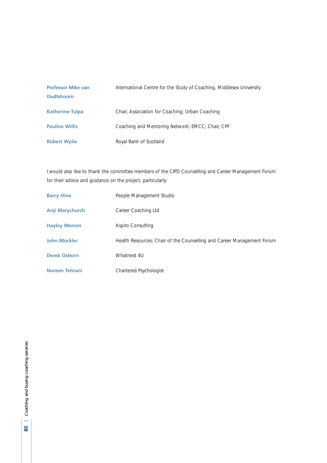| <b>Professor Mike van</b><br><b>Oudtshoorn</b> | International Centre for the Study of Coaching, Middlesex University |
|------------------------------------------------|----------------------------------------------------------------------|
| <b>Katherine Tulpa</b>                         | Chair, Association for Coaching; Urban Coaching                      |
| <b>Pauline Willis</b>                          | Coaching and Mentoring Network; EMCC; Chair, CPF                     |
| <b>Robert Wylie</b>                            | Royal Bank of Scotland                                               |

I would also like to thank the committee members of the CIPD Counselling and Career Management Forum for their advice and guidance on the project, particularly:

| <b>Barry Hine</b>    | People Management Studio                                               |
|----------------------|------------------------------------------------------------------------|
| Anji Marychurch      | Career Coaching Ltd                                                    |
| <b>Hayley Merron</b> | Aspiro Consulting                                                      |
| <b>John Mockler</b>  | Health Resources; Chair of the Counselling and Career Management Forum |
| <b>Derek Osborn</b>  | Whatnext 4U                                                            |
| Noreen Tehrani       | Chartered Psychologist                                                 |